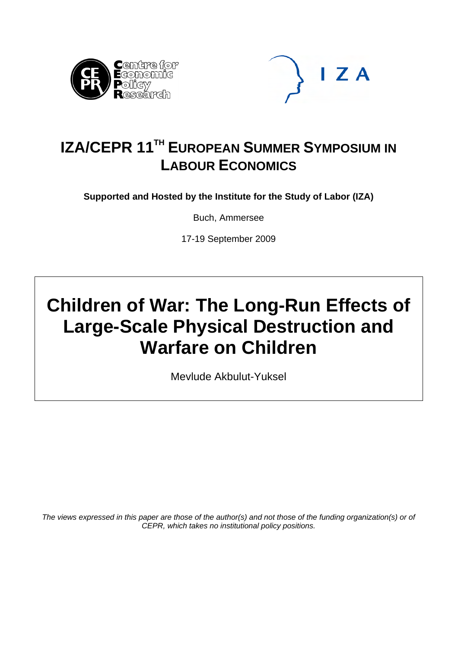



## **IZA/CEPR 11TH EUROPEAN SUMMER SYMPOSIUM IN LABOUR ECONOMICS**

**Supported and Hosted by the Institute for the Study of Labor (IZA)** 

Buch, Ammersee

17-19 September 2009

# **Children of War: The Long-Run Effects of Large-Scale Physical Destruction and Warfare on Children**

Mevlude Akbulut-Yuksel

*The views expressed in this paper are those of the author(s) and not those of the funding organization(s) or of CEPR, which takes no institutional policy positions.*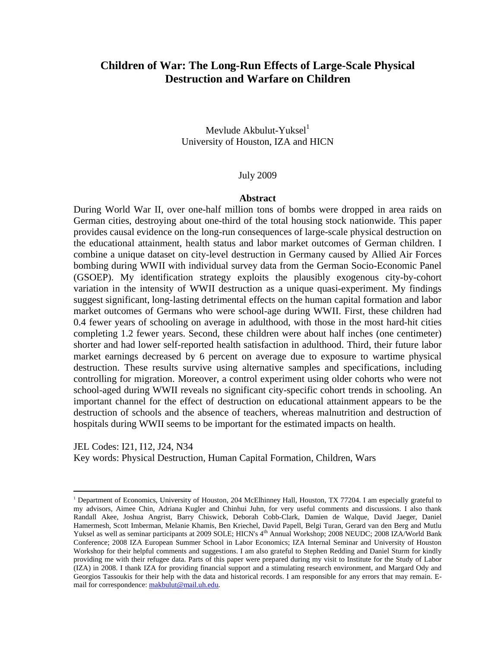## **Children of War: The Long-Run Effects of Large-Scale Physical Destruction and Warfare on Children**

Mevlude Akbulut-Yuksel $<sup>1</sup>$ </sup> University of Houston, IZA and HICN

#### July 2009

#### **Abstract**

During World War II, over one-half million tons of bombs were dropped in area raids on German cities, destroying about one-third of the total housing stock nationwide. This paper provides causal evidence on the long-run consequences of large-scale physical destruction on the educational attainment, health status and labor market outcomes of German children. I combine a unique dataset on city-level destruction in Germany caused by Allied Air Forces bombing during WWII with individual survey data from the German Socio-Economic Panel (GSOEP). My identification strategy exploits the plausibly exogenous city-by-cohort variation in the intensity of WWII destruction as a unique quasi-experiment. My findings suggest significant, long-lasting detrimental effects on the human capital formation and labor market outcomes of Germans who were school-age during WWII. First, these children had 0.4 fewer years of schooling on average in adulthood, with those in the most hard-hit cities completing 1.2 fewer years. Second, these children were about half inches (one centimeter) shorter and had lower self-reported health satisfaction in adulthood. Third, their future labor market earnings decreased by 6 percent on average due to exposure to wartime physical destruction. These results survive using alternative samples and specifications, including controlling for migration. Moreover, a control experiment using older cohorts who were not school-aged during WWII reveals no significant city-specific cohort trends in schooling. An important channel for the effect of destruction on educational attainment appears to be the destruction of schools and the absence of teachers, whereas malnutrition and destruction of hospitals during WWII seems to be important for the estimated impacts on health.

JEL Codes: I21, I12, J24, N34 Key words: Physical Destruction, Human Capital Formation, Children, Wars

<sup>1</sup> Department of Economics, University of Houston, 204 McElhinney Hall, Houston, TX 77204. I am especially grateful to my advisors, Aimee Chin, Adriana Kugler and Chinhui Juhn, for very useful comments and discussions. I also thank Randall Akee, Joshua Angrist, Barry Chiswick, Deborah Cobb-Clark, Damien de Walque, David Jaeger, Daniel Hamermesh, Scott Imberman, Melanie Khamis, Ben Kriechel, David Papell, Belgi Turan, Gerard van den Berg and Mutlu Yuksel as well as seminar participants at 2009 SOLE; HICN's 4<sup>th</sup> Annual Workshop; 2008 NEUDC; 2008 IZA/World Bank Conference; 2008 IZA European Summer School in Labor Economics; IZA Internal Seminar and University of Houston Workshop for their helpful comments and suggestions. I am also grateful to Stephen Redding and Daniel Sturm for kindly providing me with their refugee data. Parts of this paper were prepared during my visit to Institute for the Study of Labor (IZA) in 2008. I thank IZA for providing financial support and a stimulating research environment, and Margard Ody and Georgios Tassoukis for their help with the data and historical records. I am responsible for any errors that may remain. Email for correspondence: makbulut@mail.uh.edu.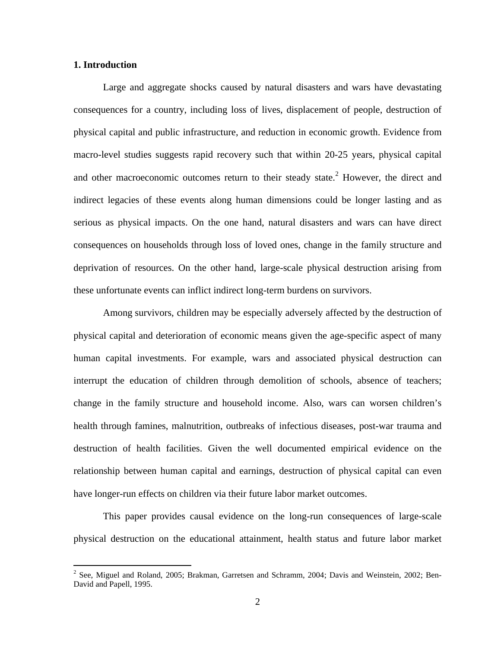#### **1. Introduction**

 $\overline{a}$ 

Large and aggregate shocks caused by natural disasters and wars have devastating consequences for a country, including loss of lives, displacement of people, destruction of physical capital and public infrastructure, and reduction in economic growth. Evidence from macro-level studies suggests rapid recovery such that within 20-25 years, physical capital and other macroeconomic outcomes return to their steady state.<sup>2</sup> However, the direct and indirect legacies of these events along human dimensions could be longer lasting and as serious as physical impacts. On the one hand, natural disasters and wars can have direct consequences on households through loss of loved ones, change in the family structure and deprivation of resources. On the other hand, large-scale physical destruction arising from these unfortunate events can inflict indirect long-term burdens on survivors.

Among survivors, children may be especially adversely affected by the destruction of physical capital and deterioration of economic means given the age-specific aspect of many human capital investments. For example, wars and associated physical destruction can interrupt the education of children through demolition of schools, absence of teachers; change in the family structure and household income. Also, wars can worsen children's health through famines, malnutrition, outbreaks of infectious diseases, post-war trauma and destruction of health facilities. Given the well documented empirical evidence on the relationship between human capital and earnings, destruction of physical capital can even have longer-run effects on children via their future labor market outcomes.

This paper provides causal evidence on the long-run consequences of large-scale physical destruction on the educational attainment, health status and future labor market

 $^{2}$  See, Miguel and Roland, 2005; Brakman, Garretsen and Schramm, 2004; Davis and Weinstein, 2002; Ben-David and Papell, 1995.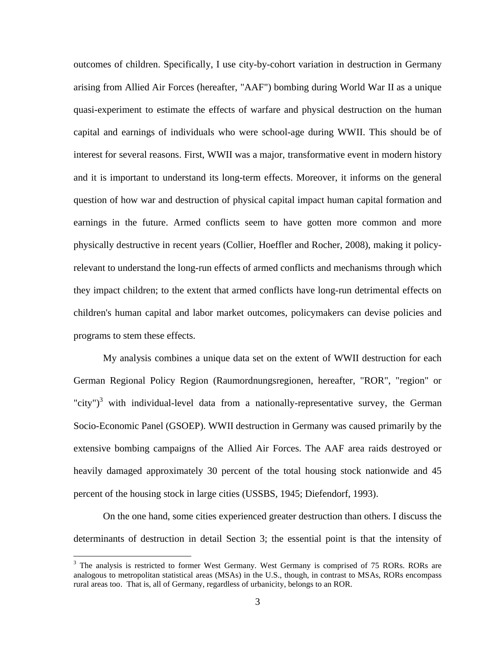outcomes of children. Specifically, I use city-by-cohort variation in destruction in Germany arising from Allied Air Forces (hereafter, "AAF") bombing during World War II as a unique quasi-experiment to estimate the effects of warfare and physical destruction on the human capital and earnings of individuals who were school-age during WWII. This should be of interest for several reasons. First, WWII was a major, transformative event in modern history and it is important to understand its long-term effects. Moreover, it informs on the general question of how war and destruction of physical capital impact human capital formation and earnings in the future. Armed conflicts seem to have gotten more common and more physically destructive in recent years (Collier, Hoeffler and Rocher, 2008), making it policyrelevant to understand the long-run effects of armed conflicts and mechanisms through which they impact children; to the extent that armed conflicts have long-run detrimental effects on children's human capital and labor market outcomes, policymakers can devise policies and programs to stem these effects.

My analysis combines a unique data set on the extent of WWII destruction for each German Regional Policy Region (Raumordnungsregionen, hereafter, "ROR", "region" or "city")<sup>3</sup> with individual-level data from a nationally-representative survey, the German Socio-Economic Panel (GSOEP). WWII destruction in Germany was caused primarily by the extensive bombing campaigns of the Allied Air Forces. The AAF area raids destroyed or heavily damaged approximately 30 percent of the total housing stock nationwide and 45 percent of the housing stock in large cities (USSBS, 1945; Diefendorf, 1993).

On the one hand, some cities experienced greater destruction than others. I discuss the determinants of destruction in detail Section 3; the essential point is that the intensity of

<sup>&</sup>lt;sup>3</sup> The analysis is restricted to former West Germany. West Germany is comprised of 75 RORs. RORs are analogous to metropolitan statistical areas (MSAs) in the U.S., though, in contrast to MSAs, RORs encompass rural areas too. That is, all of Germany, regardless of urbanicity, belongs to an ROR.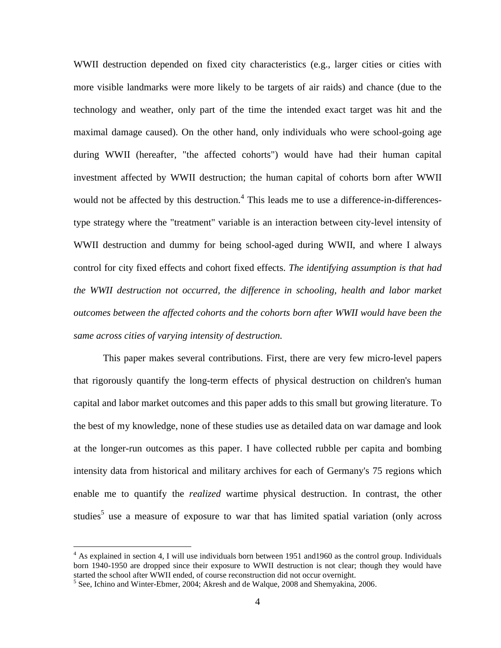WWII destruction depended on fixed city characteristics (e.g., larger cities or cities with more visible landmarks were more likely to be targets of air raids) and chance (due to the technology and weather, only part of the time the intended exact target was hit and the maximal damage caused). On the other hand, only individuals who were school-going age during WWII (hereafter, "the affected cohorts") would have had their human capital investment affected by WWII destruction; the human capital of cohorts born after WWII would not be affected by this destruction.<sup>4</sup> This leads me to use a difference-in-differencestype strategy where the "treatment" variable is an interaction between city-level intensity of WWII destruction and dummy for being school-aged during WWII, and where I always control for city fixed effects and cohort fixed effects. *The identifying assumption is that had the WWII destruction not occurred, the difference in schooling, health and labor market outcomes between the affected cohorts and the cohorts born after WWII would have been the same across cities of varying intensity of destruction.*

This paper makes several contributions. First, there are very few micro-level papers that rigorously quantify the long-term effects of physical destruction on children's human capital and labor market outcomes and this paper adds to this small but growing literature. To the best of my knowledge, none of these studies use as detailed data on war damage and look at the longer-run outcomes as this paper. I have collected rubble per capita and bombing intensity data from historical and military archives for each of Germany's 75 regions which enable me to quantify the *realized* wartime physical destruction. In contrast, the other studies<sup>5</sup> use a measure of exposure to war that has limited spatial variation (only across

 $4$  As explained in section 4, I will use individuals born between 1951 and 1960 as the control group. Individuals born 1940-1950 are dropped since their exposure to WWII destruction is not clear; though they would have started the school after WWII ended, of course reconstruction did not occur overnight.

 $<sup>5</sup>$  See, Ichino and Winter-Ebmer, 2004; Akresh and de Walque, 2008 and Shemyakina, 2006.</sup>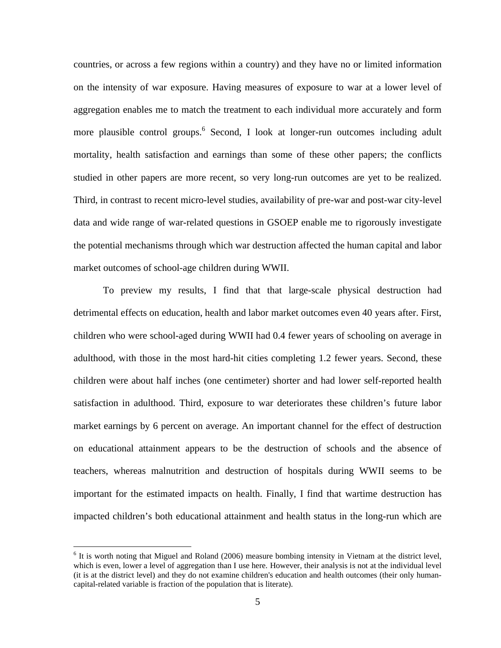countries, or across a few regions within a country) and they have no or limited information on the intensity of war exposure. Having measures of exposure to war at a lower level of aggregation enables me to match the treatment to each individual more accurately and form more plausible control groups.<sup>6</sup> Second, I look at longer-run outcomes including adult mortality, health satisfaction and earnings than some of these other papers; the conflicts studied in other papers are more recent, so very long-run outcomes are yet to be realized. Third, in contrast to recent micro-level studies, availability of pre-war and post-war city-level data and wide range of war-related questions in GSOEP enable me to rigorously investigate the potential mechanisms through which war destruction affected the human capital and labor market outcomes of school-age children during WWII.

To preview my results, I find that that large-scale physical destruction had detrimental effects on education, health and labor market outcomes even 40 years after. First, children who were school-aged during WWII had 0.4 fewer years of schooling on average in adulthood, with those in the most hard-hit cities completing 1.2 fewer years. Second, these children were about half inches (one centimeter) shorter and had lower self-reported health satisfaction in adulthood. Third, exposure to war deteriorates these children's future labor market earnings by 6 percent on average. An important channel for the effect of destruction on educational attainment appears to be the destruction of schools and the absence of teachers, whereas malnutrition and destruction of hospitals during WWII seems to be important for the estimated impacts on health. Finally, I find that wartime destruction has impacted children's both educational attainment and health status in the long-run which are

 $<sup>6</sup>$  It is worth noting that Miguel and Roland (2006) measure bombing intensity in Vietnam at the district level,</sup> which is even, lower a level of aggregation than I use here. However, their analysis is not at the individual level (it is at the district level) and they do not examine children's education and health outcomes (their only humancapital-related variable is fraction of the population that is literate).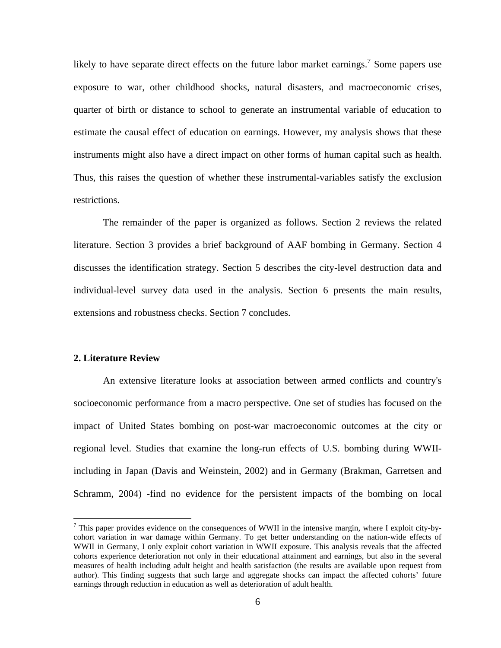likely to have separate direct effects on the future labor market earnings.<sup>7</sup> Some papers use exposure to war, other childhood shocks, natural disasters, and macroeconomic crises, quarter of birth or distance to school to generate an instrumental variable of education to estimate the causal effect of education on earnings. However, my analysis shows that these instruments might also have a direct impact on other forms of human capital such as health. Thus, this raises the question of whether these instrumental-variables satisfy the exclusion restrictions.

The remainder of the paper is organized as follows. Section 2 reviews the related literature. Section 3 provides a brief background of AAF bombing in Germany. Section 4 discusses the identification strategy. Section 5 describes the city-level destruction data and individual-level survey data used in the analysis. Section 6 presents the main results, extensions and robustness checks. Section 7 concludes.

#### **2. Literature Review**

 $\overline{a}$ 

An extensive literature looks at association between armed conflicts and country's socioeconomic performance from a macro perspective. One set of studies has focused on the impact of United States bombing on post-war macroeconomic outcomes at the city or regional level. Studies that examine the long-run effects of U.S. bombing during WWIIincluding in Japan (Davis and Weinstein, 2002) and in Germany (Brakman, Garretsen and Schramm, 2004) -find no evidence for the persistent impacts of the bombing on local

<sup>&</sup>lt;sup>7</sup> This paper provides evidence on the consequences of WWII in the intensive margin, where I exploit city-bycohort variation in war damage within Germany. To get better understanding on the nation-wide effects of WWII in Germany, I only exploit cohort variation in WWII exposure. This analysis reveals that the affected cohorts experience deterioration not only in their educational attainment and earnings, but also in the several measures of health including adult height and health satisfaction (the results are available upon request from author). This finding suggests that such large and aggregate shocks can impact the affected cohorts' future earnings through reduction in education as well as deterioration of adult health.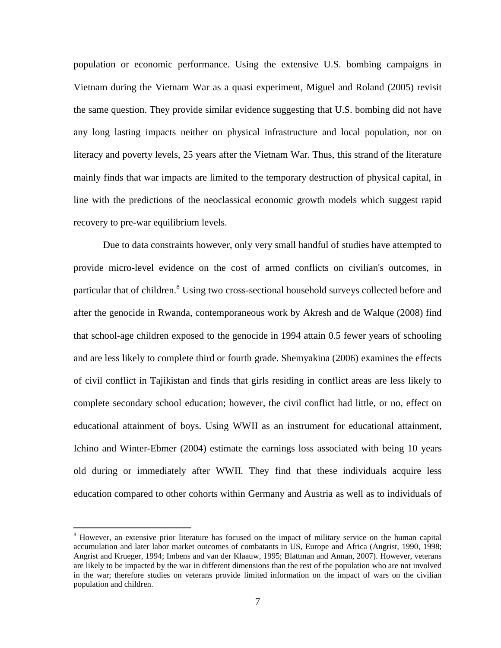population or economic performance. Using the extensive U.S. bombing campaigns in Vietnam during the Vietnam War as a quasi experiment, Miguel and Roland (2005) revisit the same question. They provide similar evidence suggesting that U.S. bombing did not have any long lasting impacts neither on physical infrastructure and local population, nor on literacy and poverty levels, 25 years after the Vietnam War. Thus, this strand of the literature mainly finds that war impacts are limited to the temporary destruction of physical capital, in line with the predictions of the neoclassical economic growth models which suggest rapid recovery to pre-war equilibrium levels.

Due to data constraints however, only very small handful of studies have attempted to provide micro-level evidence on the cost of armed conflicts on civilian's outcomes, in particular that of children.<sup>8</sup> Using two cross-sectional household surveys collected before and after the genocide in Rwanda, contemporaneous work by Akresh and de Walque (2008) find that school-age children exposed to the genocide in 1994 attain 0.5 fewer years of schooling and are less likely to complete third or fourth grade. Shemyakina (2006) examines the effects of civil conflict in Tajikistan and finds that girls residing in conflict areas are less likely to complete secondary school education; however, the civil conflict had little, or no, effect on educational attainment of boys. Using WWII as an instrument for educational attainment, Ichino and Winter-Ebmer (2004) estimate the earnings loss associated with being 10 years old during or immediately after WWII. They find that these individuals acquire less education compared to other cohorts within Germany and Austria as well as to individuals of

<sup>&</sup>lt;sup>8</sup> However, an extensive prior literature has focused on the impact of military service on the human capital accumulation and later labor market outcomes of combatants in US, Europe and Africa (Angrist, 1990, 1998; Angrist and Krueger, 1994; Imbens and van der Klaauw, 1995; Blattman and Annan, 2007). However, veterans are likely to be impacted by the war in different dimensions than the rest of the population who are not involved in the war; therefore studies on veterans provide limited information on the impact of wars on the civilian population and children.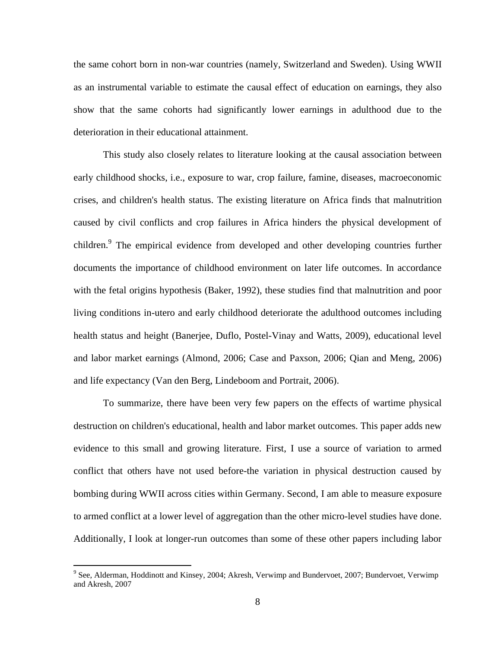the same cohort born in non-war countries (namely, Switzerland and Sweden). Using WWII as an instrumental variable to estimate the causal effect of education on earnings, they also show that the same cohorts had significantly lower earnings in adulthood due to the deterioration in their educational attainment.

This study also closely relates to literature looking at the causal association between early childhood shocks, i.e., exposure to war, crop failure, famine, diseases, macroeconomic crises, and children's health status. The existing literature on Africa finds that malnutrition caused by civil conflicts and crop failures in Africa hinders the physical development of children.<sup>9</sup> The empirical evidence from developed and other developing countries further documents the importance of childhood environment on later life outcomes. In accordance with the fetal origins hypothesis (Baker, 1992), these studies find that malnutrition and poor living conditions in-utero and early childhood deteriorate the adulthood outcomes including health status and height (Banerjee, Duflo, Postel-Vinay and Watts, 2009), educational level and labor market earnings (Almond, 2006; Case and Paxson, 2006; Qian and Meng, 2006) and life expectancy (Van den Berg, Lindeboom and Portrait, 2006).

To summarize, there have been very few papers on the effects of wartime physical destruction on children's educational, health and labor market outcomes. This paper adds new evidence to this small and growing literature. First, I use a source of variation to armed conflict that others have not used before-the variation in physical destruction caused by bombing during WWII across cities within Germany. Second, I am able to measure exposure to armed conflict at a lower level of aggregation than the other micro-level studies have done. Additionally, I look at longer-run outcomes than some of these other papers including labor

<sup>&</sup>lt;sup>9</sup> See, Alderman, Hoddinott and Kinsey, 2004; Akresh, Verwimp and Bundervoet, 2007; Bundervoet, Verwimp and Akresh, 2007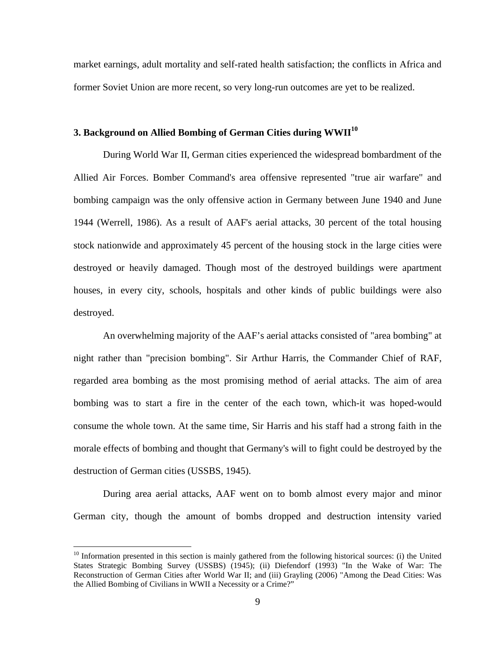market earnings, adult mortality and self-rated health satisfaction; the conflicts in Africa and former Soviet Union are more recent, so very long-run outcomes are yet to be realized.

## **3. Background on Allied Bombing of German Cities during WWII10**

During World War II, German cities experienced the widespread bombardment of the Allied Air Forces. Bomber Command's area offensive represented "true air warfare" and bombing campaign was the only offensive action in Germany between June 1940 and June 1944 (Werrell, 1986). As a result of AAF's aerial attacks, 30 percent of the total housing stock nationwide and approximately 45 percent of the housing stock in the large cities were destroyed or heavily damaged. Though most of the destroyed buildings were apartment houses, in every city, schools, hospitals and other kinds of public buildings were also destroyed.

An overwhelming majority of the AAF's aerial attacks consisted of "area bombing" at night rather than "precision bombing". Sir Arthur Harris, the Commander Chief of RAF, regarded area bombing as the most promising method of aerial attacks. The aim of area bombing was to start a fire in the center of the each town, which-it was hoped-would consume the whole town. At the same time, Sir Harris and his staff had a strong faith in the morale effects of bombing and thought that Germany's will to fight could be destroyed by the destruction of German cities (USSBS, 1945).

During area aerial attacks, AAF went on to bomb almost every major and minor German city, though the amount of bombs dropped and destruction intensity varied

 $10$  Information presented in this section is mainly gathered from the following historical sources: (i) the United States Strategic Bombing Survey (USSBS) (1945); (ii) Diefendorf (1993) "In the Wake of War: The Reconstruction of German Cities after World War II; and (iii) Grayling (2006) "Among the Dead Cities: Was the Allied Bombing of Civilians in WWII a Necessity or a Crime?"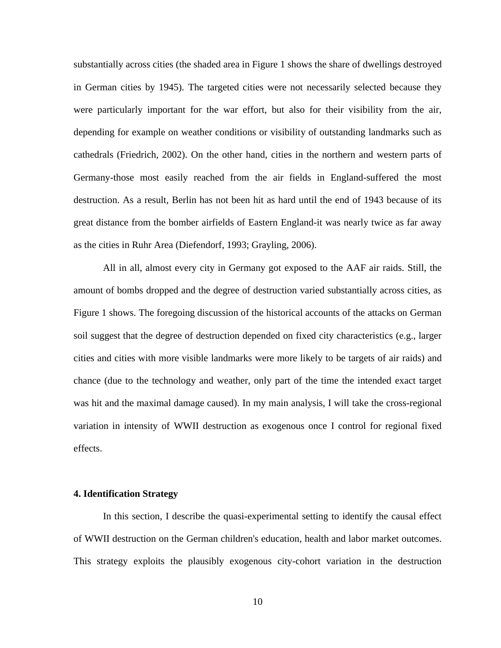substantially across cities (the shaded area in Figure 1 shows the share of dwellings destroyed in German cities by 1945). The targeted cities were not necessarily selected because they were particularly important for the war effort, but also for their visibility from the air, depending for example on weather conditions or visibility of outstanding landmarks such as cathedrals (Friedrich, 2002). On the other hand, cities in the northern and western parts of Germany-those most easily reached from the air fields in England-suffered the most destruction. As a result, Berlin has not been hit as hard until the end of 1943 because of its great distance from the bomber airfields of Eastern England-it was nearly twice as far away as the cities in Ruhr Area (Diefendorf, 1993; Grayling, 2006).

All in all, almost every city in Germany got exposed to the AAF air raids. Still, the amount of bombs dropped and the degree of destruction varied substantially across cities, as Figure 1 shows. The foregoing discussion of the historical accounts of the attacks on German soil suggest that the degree of destruction depended on fixed city characteristics (e.g., larger cities and cities with more visible landmarks were more likely to be targets of air raids) and chance (due to the technology and weather, only part of the time the intended exact target was hit and the maximal damage caused). In my main analysis, I will take the cross-regional variation in intensity of WWII destruction as exogenous once I control for regional fixed effects.

#### **4. Identification Strategy**

In this section, I describe the quasi-experimental setting to identify the causal effect of WWII destruction on the German children's education, health and labor market outcomes. This strategy exploits the plausibly exogenous city-cohort variation in the destruction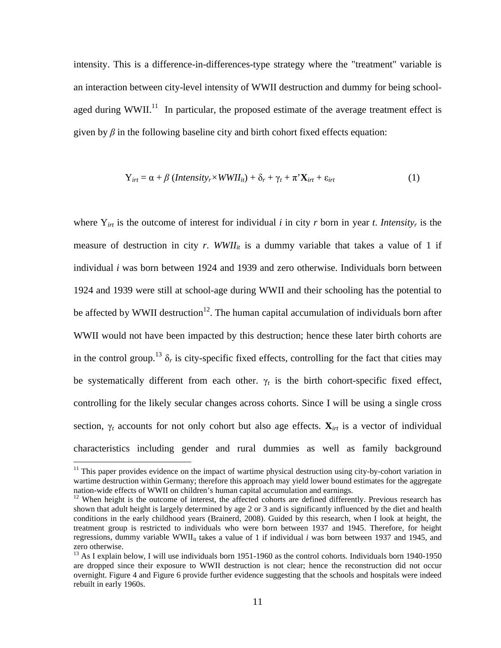intensity. This is a difference-in-differences-type strategy where the "treatment" variable is an interaction between city-level intensity of WWII destruction and dummy for being schoolaged during WWII.<sup>11</sup> In particular, the proposed estimate of the average treatment effect is given by  $\beta$  in the following baseline city and birth cohort fixed effects equation:

$$
Y_{irt} = \alpha + \beta \left( Intensity_r \times WWII_{it} \right) + \delta_r + \gamma_t + \pi^* X_{irt} + \varepsilon_{irt}
$$
 (1)

where  $Y_{irt}$  is the outcome of interest for individual *i* in city *r* born in year *t*. *Intensity<sub>r</sub>* is the measure of destruction in city  $r$ . *WWII<sub>it</sub>* is a dummy variable that takes a value of 1 if individual *i* was born between 1924 and 1939 and zero otherwise. Individuals born between 1924 and 1939 were still at school-age during WWII and their schooling has the potential to be affected by WWII destruction<sup>12</sup>. The human capital accumulation of individuals born after WWII would not have been impacted by this destruction; hence these later birth cohorts are in the control group.<sup>13</sup>  $\delta_r$  is city-specific fixed effects, controlling for the fact that cities may be systematically different from each other.  $\gamma_t$  is the birth cohort-specific fixed effect, controlling for the likely secular changes across cohorts. Since I will be using a single cross section,  $\gamma_t$  accounts for not only cohort but also age effects.  $\mathbf{X}_{irt}$  is a vector of individual characteristics including gender and rural dummies as well as family background

 $11$  This paper provides evidence on the impact of wartime physical destruction using city-by-cohort variation in wartime destruction within Germany; therefore this approach may yield lower bound estimates for the aggregate nation-wide effects of WWII on children's human capital accumulation and earnings.

<sup>&</sup>lt;sup>12</sup> When height is the outcome of interest, the affected cohorts are defined differently. Previous research has shown that adult height is largely determined by age 2 or 3 and is significantly influenced by the diet and health conditions in the early childhood years (Brainerd, 2008). Guided by this research, when I look at height, the treatment group is restricted to individuals who were born between 1937 and 1945. Therefore, for height regressions, dummy variable WWII $_{it}$  takes a value of 1 if individual *i* was born between 1937 and 1945, and zero otherwise.

<sup>&</sup>lt;sup>13</sup> As I explain below, I will use individuals born 1951-1960 as the control cohorts. Individuals born 1940-1950 are dropped since their exposure to WWII destruction is not clear; hence the reconstruction did not occur overnight. Figure 4 and Figure 6 provide further evidence suggesting that the schools and hospitals were indeed rebuilt in early 1960s.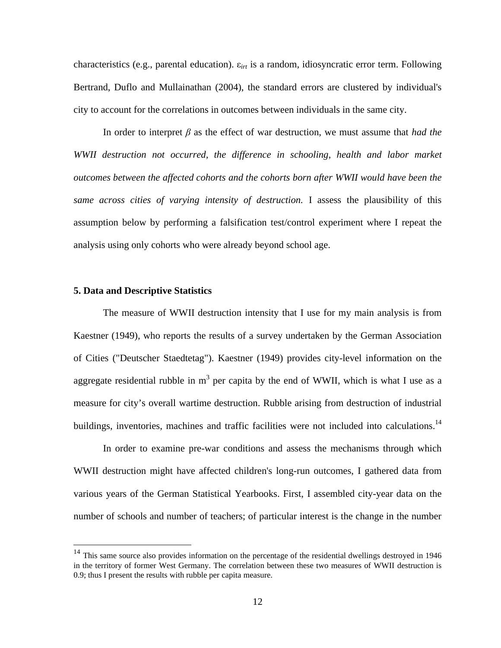characteristics (e.g., parental education). ε*irt* is a random, idiosyncratic error term. Following Bertrand, Duflo and Mullainathan (2004), the standard errors are clustered by individual's city to account for the correlations in outcomes between individuals in the same city.

In order to interpret  $\beta$  as the effect of war destruction, we must assume that *had the WWII destruction not occurred, the difference in schooling, health and labor market outcomes between the affected cohorts and the cohorts born after WWII would have been the same across cities of varying intensity of destruction.* I assess the plausibility of this assumption below by performing a falsification test/control experiment where I repeat the analysis using only cohorts who were already beyond school age.

#### **5. Data and Descriptive Statistics**

 $\overline{a}$ 

The measure of WWII destruction intensity that I use for my main analysis is from Kaestner (1949), who reports the results of a survey undertaken by the German Association of Cities ("Deutscher Staedtetag"). Kaestner (1949) provides city-level information on the aggregate residential rubble in  $m<sup>3</sup>$  per capita by the end of WWII, which is what I use as a measure for city's overall wartime destruction. Rubble arising from destruction of industrial buildings, inventories, machines and traffic facilities were not included into calculations.<sup>14</sup>

In order to examine pre-war conditions and assess the mechanisms through which WWII destruction might have affected children's long-run outcomes, I gathered data from various years of the German Statistical Yearbooks. First, I assembled city-year data on the number of schools and number of teachers; of particular interest is the change in the number

<sup>&</sup>lt;sup>14</sup> This same source also provides information on the percentage of the residential dwellings destroyed in 1946 in the territory of former West Germany. The correlation between these two measures of WWII destruction is 0.9; thus I present the results with rubble per capita measure.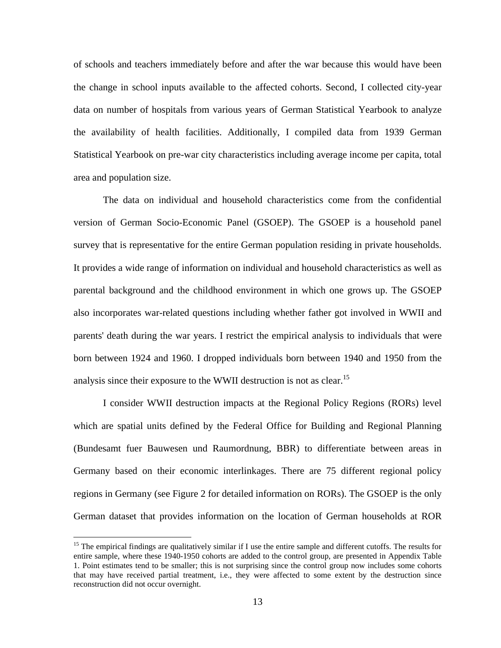of schools and teachers immediately before and after the war because this would have been the change in school inputs available to the affected cohorts. Second, I collected city-year data on number of hospitals from various years of German Statistical Yearbook to analyze the availability of health facilities. Additionally, I compiled data from 1939 German Statistical Yearbook on pre-war city characteristics including average income per capita, total area and population size.

The data on individual and household characteristics come from the confidential version of German Socio-Economic Panel (GSOEP). The GSOEP is a household panel survey that is representative for the entire German population residing in private households. It provides a wide range of information on individual and household characteristics as well as parental background and the childhood environment in which one grows up. The GSOEP also incorporates war-related questions including whether father got involved in WWII and parents' death during the war years. I restrict the empirical analysis to individuals that were born between 1924 and 1960. I dropped individuals born between 1940 and 1950 from the analysis since their exposure to the WWII destruction is not as clear.<sup>15</sup>

I consider WWII destruction impacts at the Regional Policy Regions (RORs) level which are spatial units defined by the Federal Office for Building and Regional Planning (Bundesamt fuer Bauwesen und Raumordnung, BBR) to differentiate between areas in Germany based on their economic interlinkages. There are 75 different regional policy regions in Germany (see Figure 2 for detailed information on RORs). The GSOEP is the only German dataset that provides information on the location of German households at ROR

<sup>&</sup>lt;sup>15</sup> The empirical findings are qualitatively similar if I use the entire sample and different cutoffs. The results for entire sample, where these 1940-1950 cohorts are added to the control group, are presented in Appendix Table 1. Point estimates tend to be smaller; this is not surprising since the control group now includes some cohorts that may have received partial treatment, i.e., they were affected to some extent by the destruction since reconstruction did not occur overnight.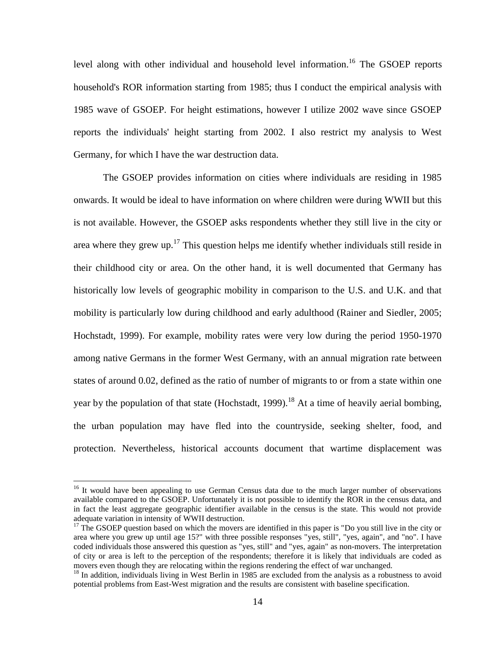level along with other individual and household level information.<sup>16</sup> The GSOEP reports household's ROR information starting from 1985; thus I conduct the empirical analysis with 1985 wave of GSOEP. For height estimations, however I utilize 2002 wave since GSOEP reports the individuals' height starting from 2002. I also restrict my analysis to West Germany, for which I have the war destruction data.

The GSOEP provides information on cities where individuals are residing in 1985 onwards. It would be ideal to have information on where children were during WWII but this is not available. However, the GSOEP asks respondents whether they still live in the city or area where they grew up.<sup>17</sup> This question helps me identify whether individuals still reside in their childhood city or area. On the other hand, it is well documented that Germany has historically low levels of geographic mobility in comparison to the U.S. and U.K. and that mobility is particularly low during childhood and early adulthood (Rainer and Siedler, 2005; Hochstadt, 1999). For example, mobility rates were very low during the period 1950-1970 among native Germans in the former West Germany, with an annual migration rate between states of around 0.02, defined as the ratio of number of migrants to or from a state within one year by the population of that state (Hochstadt, 1999).<sup>18</sup> At a time of heavily aerial bombing, the urban population may have fled into the countryside, seeking shelter, food, and protection. Nevertheless, historical accounts document that wartime displacement was

<sup>&</sup>lt;sup>16</sup> It would have been appealing to use German Census data due to the much larger number of observations available compared to the GSOEP. Unfortunately it is not possible to identify the ROR in the census data, and in fact the least aggregate geographic identifier available in the census is the state. This would not provide adequate variation in intensity of WWII destruction.

<sup>&</sup>lt;sup>17</sup> The GSOEP question based on which the movers are identified in this paper is "Do you still live in the city or area where you grew up until age 15?" with three possible responses "yes, still", "yes, again", and "no". I have coded individuals those answered this question as "yes, still" and "yes, again" as non-movers. The interpretation of city or area is left to the perception of the respondents; therefore it is likely that individuals are coded as movers even though they are relocating within the regions rendering the effect of war unchanged.

<sup>&</sup>lt;sup>18</sup> In addition, individuals living in West Berlin in 1985 are excluded from the analysis as a robustness to avoid potential problems from East-West migration and the results are consistent with baseline specification.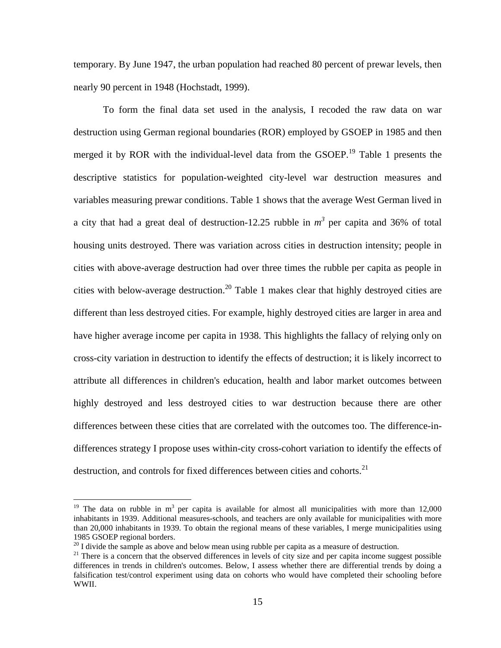temporary. By June 1947, the urban population had reached 80 percent of prewar levels, then nearly 90 percent in 1948 (Hochstadt, 1999).

To form the final data set used in the analysis, I recoded the raw data on war destruction using German regional boundaries (ROR) employed by GSOEP in 1985 and then merged it by ROR with the individual-level data from the GSOEP.<sup>19</sup> Table 1 presents the descriptive statistics for population-weighted city-level war destruction measures and variables measuring prewar conditions. Table 1 shows that the average West German lived in a city that had a great deal of destruction-12.25 rubble in  $m^3$  per capita and 36% of total housing units destroyed. There was variation across cities in destruction intensity; people in cities with above-average destruction had over three times the rubble per capita as people in cities with below-average destruction.<sup>20</sup> Table 1 makes clear that highly destroyed cities are different than less destroyed cities. For example, highly destroyed cities are larger in area and have higher average income per capita in 1938. This highlights the fallacy of relying only on cross-city variation in destruction to identify the effects of destruction; it is likely incorrect to attribute all differences in children's education, health and labor market outcomes between highly destroyed and less destroyed cities to war destruction because there are other differences between these cities that are correlated with the outcomes too. The difference-indifferences strategy I propose uses within-city cross-cohort variation to identify the effects of destruction, and controls for fixed differences between cities and cohorts.<sup>21</sup>

<sup>&</sup>lt;sup>19</sup> The data on rubble in  $m<sup>3</sup>$  per capita is available for almost all municipalities with more than 12,000 inhabitants in 1939. Additional measures-schools, and teachers are only available for municipalities with more than 20,000 inhabitants in 1939. To obtain the regional means of these variables, I merge municipalities using 1985 GSOEP regional borders.<br><sup>20</sup> I divide the sample as above and below mean using rubble per capita as a measure of destruction.

 $21$  There is a concern that the observed differences in levels of city size and per capita income suggest possible differences in trends in children's outcomes. Below, I assess whether there are differential trends by doing a falsification test/control experiment using data on cohorts who would have completed their schooling before WWII.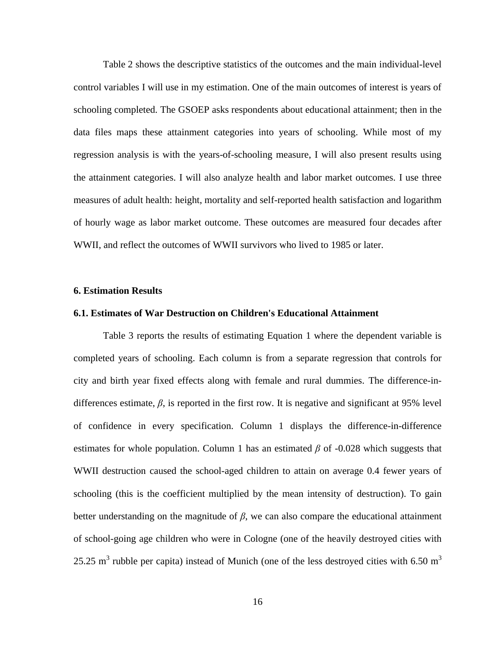Table 2 shows the descriptive statistics of the outcomes and the main individual-level control variables I will use in my estimation. One of the main outcomes of interest is years of schooling completed. The GSOEP asks respondents about educational attainment; then in the data files maps these attainment categories into years of schooling. While most of my regression analysis is with the years-of-schooling measure, I will also present results using the attainment categories. I will also analyze health and labor market outcomes. I use three measures of adult health: height, mortality and self-reported health satisfaction and logarithm of hourly wage as labor market outcome. These outcomes are measured four decades after WWII, and reflect the outcomes of WWII survivors who lived to 1985 or later.

#### **6. Estimation Results**

#### **6.1. Estimates of War Destruction on Children's Educational Attainment**

Table 3 reports the results of estimating Equation 1 where the dependent variable is completed years of schooling. Each column is from a separate regression that controls for city and birth year fixed effects along with female and rural dummies. The difference-indifferences estimate,  $\beta$ , is reported in the first row. It is negative and significant at 95% level of confidence in every specification. Column 1 displays the difference-in-difference estimates for whole population. Column 1 has an estimated  $\beta$  of -0.028 which suggests that WWII destruction caused the school-aged children to attain on average 0.4 fewer years of schooling (this is the coefficient multiplied by the mean intensity of destruction). To gain better understanding on the magnitude of  $\beta$ , we can also compare the educational attainment of school-going age children who were in Cologne (one of the heavily destroyed cities with 25.25  $\text{m}^3$  rubble per capita) instead of Munich (one of the less destroyed cities with 6.50  $\text{m}^3$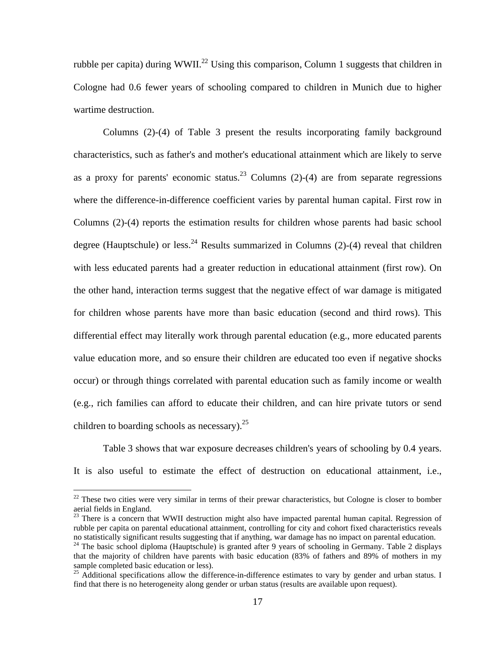rubble per capita) during WWII.<sup>22</sup> Using this comparison, Column 1 suggests that children in Cologne had 0.6 fewer years of schooling compared to children in Munich due to higher wartime destruction.

Columns (2)-(4) of Table 3 present the results incorporating family background characteristics, such as father's and mother's educational attainment which are likely to serve as a proxy for parents' economic status.<sup>23</sup> Columns (2)-(4) are from separate regressions where the difference-in-difference coefficient varies by parental human capital. First row in Columns (2)-(4) reports the estimation results for children whose parents had basic school degree (Hauptschule) or less.<sup>24</sup> Results summarized in Columns  $(2)-(4)$  reveal that children with less educated parents had a greater reduction in educational attainment (first row). On the other hand, interaction terms suggest that the negative effect of war damage is mitigated for children whose parents have more than basic education (second and third rows). This differential effect may literally work through parental education (e.g., more educated parents value education more, and so ensure their children are educated too even if negative shocks occur) or through things correlated with parental education such as family income or wealth (e.g., rich families can afford to educate their children, and can hire private tutors or send children to boarding schools as necessary).  $25$ 

Table 3 shows that war exposure decreases children's years of schooling by 0.4 years. It is also useful to estimate the effect of destruction on educational attainment, i.e.,

<sup>&</sup>lt;sup>22</sup> These two cities were very similar in terms of their prewar characteristics, but Cologne is closer to bomber aerial fields in England.

<sup>&</sup>lt;sup>23</sup> There is a concern that WWII destruction might also have impacted parental human capital. Regression of rubble per capita on parental educational attainment, controlling for city and cohort fixed characteristics reveals no statistically significant results suggesting that if anything, war damage has no impact on parental education.

<sup>&</sup>lt;sup>24</sup> The basic school diploma (Hauptschule) is granted after 9 years of schooling in Germany. Table 2 displays that the majority of children have parents with basic education (83% of fathers and 89% of mothers in my sample completed basic education or less).

 $^{25}$  Additional specifications allow the difference-in-difference estimates to vary by gender and urban status. I find that there is no heterogeneity along gender or urban status (results are available upon request).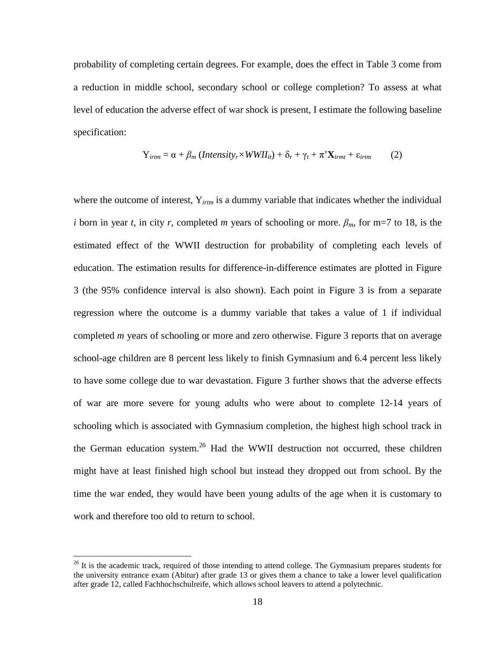probability of completing certain degrees. For example, does the effect in Table 3 come from a reduction in middle school, secondary school or college completion? To assess at what level of education the adverse effect of war shock is present, I estimate the following baseline specification:

$$
Y_{\text{irtm}} = \alpha + \beta_m \left( \text{Intensity}_{r} \times \text{WWII}_{it} \right) + \delta_r + \gamma_t + \pi^* \mathbf{X}_{\text{irmt}} + \varepsilon_{\text{irtm}} \tag{2}
$$

where the outcome of interest, Y<sub>irtm</sub> is a dummy variable that indicates whether the individual *i* born in year *t*, in city *r*, completed *m* years of schooling or more.  $\beta_m$ , for m=7 to 18, is the estimated effect of the WWII destruction for probability of completing each levels of education. The estimation results for difference-in-difference estimates are plotted in Figure 3 (the 95% confidence interval is also shown). Each point in Figure 3 is from a separate regression where the outcome is a dummy variable that takes a value of 1 if individual completed *m* years of schooling or more and zero otherwise. Figure 3 reports that on average school-age children are 8 percent less likely to finish Gymnasium and 6.4 percent less likely to have some college due to war devastation. Figure 3 further shows that the adverse effects of war are more severe for young adults who were about to complete 12-14 years of schooling which is associated with Gymnasium completion, the highest high school track in the German education system.<sup>26</sup> Had the WWII destruction not occurred, these children might have at least finished high school but instead they dropped out from school. By the time the war ended, they would have been young adults of the age when it is customary to work and therefore too old to return to school.

 $^{26}$  It is the academic track, required of those intending to attend college. The Gymnasium prepares students for the university entrance exam (Abitur) after grade 13 or gives them a chance to take a lower level qualification after grade 12, called Fachhochschulreife, which allows school leavers to attend a polytechnic.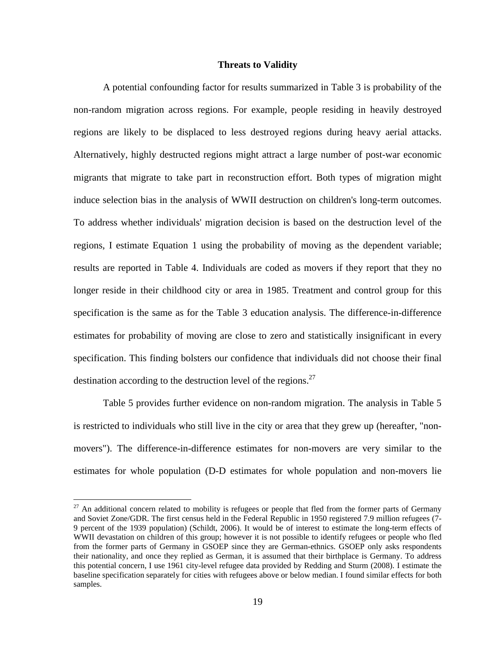#### **Threats to Validity**

A potential confounding factor for results summarized in Table 3 is probability of the non-random migration across regions. For example, people residing in heavily destroyed regions are likely to be displaced to less destroyed regions during heavy aerial attacks. Alternatively, highly destructed regions might attract a large number of post-war economic migrants that migrate to take part in reconstruction effort. Both types of migration might induce selection bias in the analysis of WWII destruction on children's long-term outcomes. To address whether individuals' migration decision is based on the destruction level of the regions, I estimate Equation 1 using the probability of moving as the dependent variable; results are reported in Table 4. Individuals are coded as movers if they report that they no longer reside in their childhood city or area in 1985. Treatment and control group for this specification is the same as for the Table 3 education analysis. The difference-in-difference estimates for probability of moving are close to zero and statistically insignificant in every specification. This finding bolsters our confidence that individuals did not choose their final destination according to the destruction level of the regions.<sup>27</sup>

Table 5 provides further evidence on non-random migration. The analysis in Table 5 is restricted to individuals who still live in the city or area that they grew up (hereafter, "nonmovers"). The difference-in-difference estimates for non-movers are very similar to the estimates for whole population (D-D estimates for whole population and non-movers lie

 $27$  An additional concern related to mobility is refugees or people that fled from the former parts of Germany and Soviet Zone/GDR. The first census held in the Federal Republic in 1950 registered 7.9 million refugees (7- 9 percent of the 1939 population) (Schildt, 2006). It would be of interest to estimate the long-term effects of WWII devastation on children of this group; however it is not possible to identify refugees or people who fled from the former parts of Germany in GSOEP since they are German-ethnics. GSOEP only asks respondents their nationality, and once they replied as German, it is assumed that their birthplace is Germany. To address this potential concern, I use 1961 city-level refugee data provided by Redding and Sturm (2008). I estimate the baseline specification separately for cities with refugees above or below median. I found similar effects for both samples.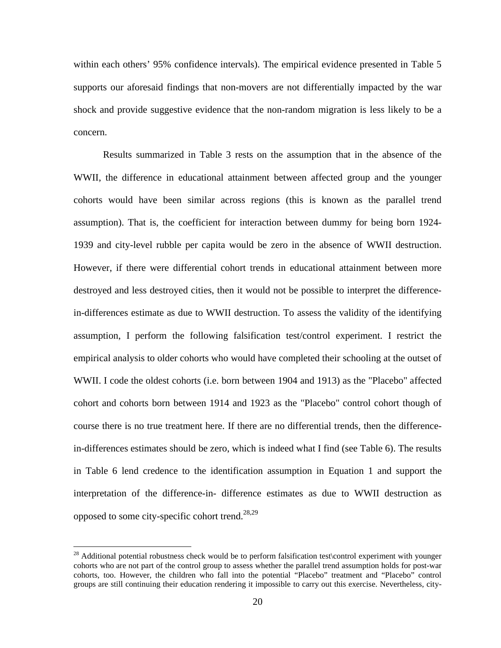within each others' 95% confidence intervals). The empirical evidence presented in Table 5 supports our aforesaid findings that non-movers are not differentially impacted by the war shock and provide suggestive evidence that the non-random migration is less likely to be a concern.

Results summarized in Table 3 rests on the assumption that in the absence of the WWII, the difference in educational attainment between affected group and the younger cohorts would have been similar across regions (this is known as the parallel trend assumption). That is, the coefficient for interaction between dummy for being born 1924- 1939 and city-level rubble per capita would be zero in the absence of WWII destruction. However, if there were differential cohort trends in educational attainment between more destroyed and less destroyed cities, then it would not be possible to interpret the differencein-differences estimate as due to WWII destruction. To assess the validity of the identifying assumption, I perform the following falsification test/control experiment. I restrict the empirical analysis to older cohorts who would have completed their schooling at the outset of WWII. I code the oldest cohorts (i.e. born between 1904 and 1913) as the "Placebo" affected cohort and cohorts born between 1914 and 1923 as the "Placebo" control cohort though of course there is no true treatment here. If there are no differential trends, then the differencein-differences estimates should be zero, which is indeed what I find (see Table 6). The results in Table 6 lend credence to the identification assumption in Equation 1 and support the interpretation of the difference-in- difference estimates as due to WWII destruction as opposed to some city-specific cohort trend.<sup>28,29</sup>

 $^{28}$  Additional potential robustness check would be to perform falsification test\control experiment with younger cohorts who are not part of the control group to assess whether the parallel trend assumption holds for post-war cohorts, too. However, the children who fall into the potential "Placebo" treatment and "Placebo" control groups are still continuing their education rendering it impossible to carry out this exercise. Nevertheless, city-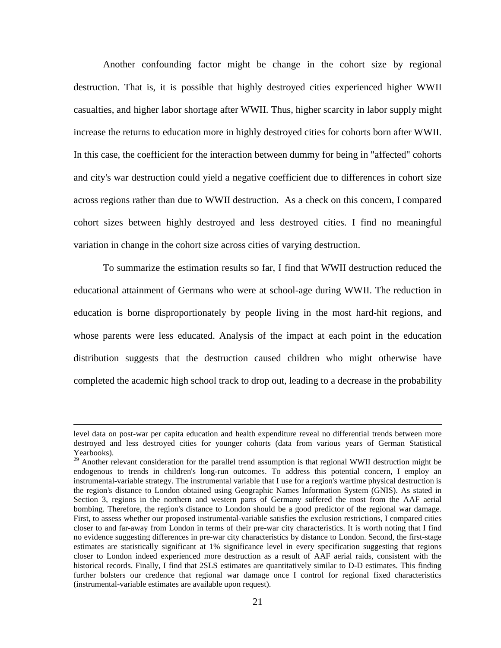Another confounding factor might be change in the cohort size by regional destruction. That is, it is possible that highly destroyed cities experienced higher WWII casualties, and higher labor shortage after WWII. Thus, higher scarcity in labor supply might increase the returns to education more in highly destroyed cities for cohorts born after WWII. In this case, the coefficient for the interaction between dummy for being in "affected" cohorts and city's war destruction could yield a negative coefficient due to differences in cohort size across regions rather than due to WWII destruction. As a check on this concern, I compared cohort sizes between highly destroyed and less destroyed cities. I find no meaningful variation in change in the cohort size across cities of varying destruction.

To summarize the estimation results so far, I find that WWII destruction reduced the educational attainment of Germans who were at school-age during WWII. The reduction in education is borne disproportionately by people living in the most hard-hit regions, and whose parents were less educated. Analysis of the impact at each point in the education distribution suggests that the destruction caused children who might otherwise have completed the academic high school track to drop out, leading to a decrease in the probability

level data on post-war per capita education and health expenditure reveal no differential trends between more destroyed and less destroyed cities for younger cohorts (data from various years of German Statistical Yearbooks).

<sup>&</sup>lt;sup>29</sup> Another relevant consideration for the parallel trend assumption is that regional WWII destruction might be endogenous to trends in children's long-run outcomes. To address this potential concern, I employ an instrumental-variable strategy. The instrumental variable that I use for a region's wartime physical destruction is the region's distance to London obtained using Geographic Names Information System (GNIS). As stated in Section 3, regions in the northern and western parts of Germany suffered the most from the AAF aerial bombing. Therefore, the region's distance to London should be a good predictor of the regional war damage. First, to assess whether our proposed instrumental-variable satisfies the exclusion restrictions, I compared cities closer to and far-away from London in terms of their pre-war city characteristics. It is worth noting that I find no evidence suggesting differences in pre-war city characteristics by distance to London. Second, the first-stage estimates are statistically significant at 1% significance level in every specification suggesting that regions closer to London indeed experienced more destruction as a result of AAF aerial raids, consistent with the historical records. Finally, I find that 2SLS estimates are quantitatively similar to D-D estimates. This finding further bolsters our credence that regional war damage once I control for regional fixed characteristics (instrumental-variable estimates are available upon request).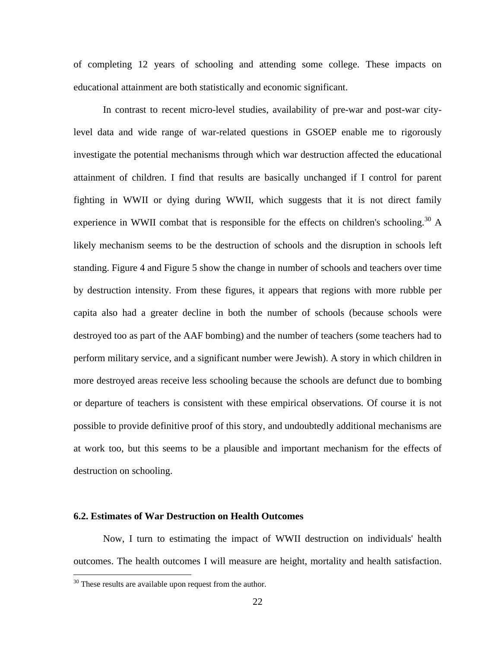of completing 12 years of schooling and attending some college. These impacts on educational attainment are both statistically and economic significant.

In contrast to recent micro-level studies, availability of pre-war and post-war citylevel data and wide range of war-related questions in GSOEP enable me to rigorously investigate the potential mechanisms through which war destruction affected the educational attainment of children. I find that results are basically unchanged if I control for parent fighting in WWII or dying during WWII, which suggests that it is not direct family experience in WWII combat that is responsible for the effects on children's schooling.<sup>30</sup> A likely mechanism seems to be the destruction of schools and the disruption in schools left standing. Figure 4 and Figure 5 show the change in number of schools and teachers over time by destruction intensity. From these figures, it appears that regions with more rubble per capita also had a greater decline in both the number of schools (because schools were destroyed too as part of the AAF bombing) and the number of teachers (some teachers had to perform military service, and a significant number were Jewish). A story in which children in more destroyed areas receive less schooling because the schools are defunct due to bombing or departure of teachers is consistent with these empirical observations. Of course it is not possible to provide definitive proof of this story, and undoubtedly additional mechanisms are at work too, but this seems to be a plausible and important mechanism for the effects of destruction on schooling.

#### **6.2. Estimates of War Destruction on Health Outcomes**

Now, I turn to estimating the impact of WWII destruction on individuals' health outcomes. The health outcomes I will measure are height, mortality and health satisfaction.

<sup>&</sup>lt;sup>30</sup> These results are available upon request from the author.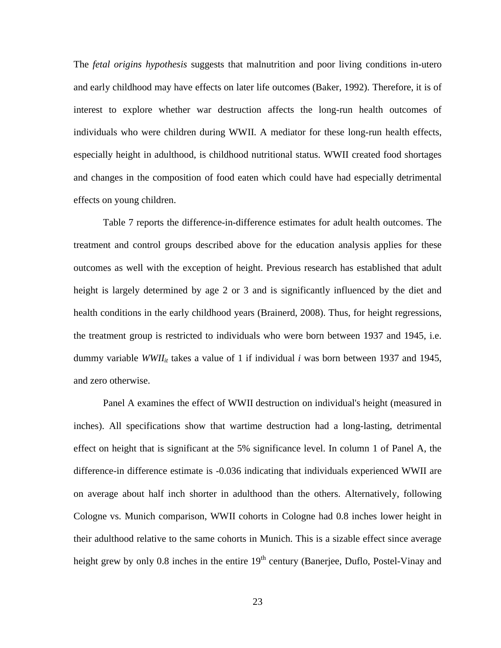The *fetal origins hypothesis* suggests that malnutrition and poor living conditions in-utero and early childhood may have effects on later life outcomes (Baker, 1992). Therefore, it is of interest to explore whether war destruction affects the long-run health outcomes of individuals who were children during WWII. A mediator for these long-run health effects, especially height in adulthood, is childhood nutritional status. WWII created food shortages and changes in the composition of food eaten which could have had especially detrimental effects on young children.

Table 7 reports the difference-in-difference estimates for adult health outcomes. The treatment and control groups described above for the education analysis applies for these outcomes as well with the exception of height. Previous research has established that adult height is largely determined by age 2 or 3 and is significantly influenced by the diet and health conditions in the early childhood years (Brainerd, 2008). Thus, for height regressions, the treatment group is restricted to individuals who were born between 1937 and 1945, i.e. dummy variable *WWII<sub>it</sub>* takes a value of 1 if individual *i* was born between 1937 and 1945, and zero otherwise.

Panel A examines the effect of WWII destruction on individual's height (measured in inches). All specifications show that wartime destruction had a long-lasting, detrimental effect on height that is significant at the 5% significance level. In column 1 of Panel A, the difference-in difference estimate is -0.036 indicating that individuals experienced WWII are on average about half inch shorter in adulthood than the others. Alternatively, following Cologne vs. Munich comparison, WWII cohorts in Cologne had 0.8 inches lower height in their adulthood relative to the same cohorts in Munich. This is a sizable effect since average height grew by only 0.8 inches in the entire  $19<sup>th</sup>$  century (Banerjee, Duflo, Postel-Vinay and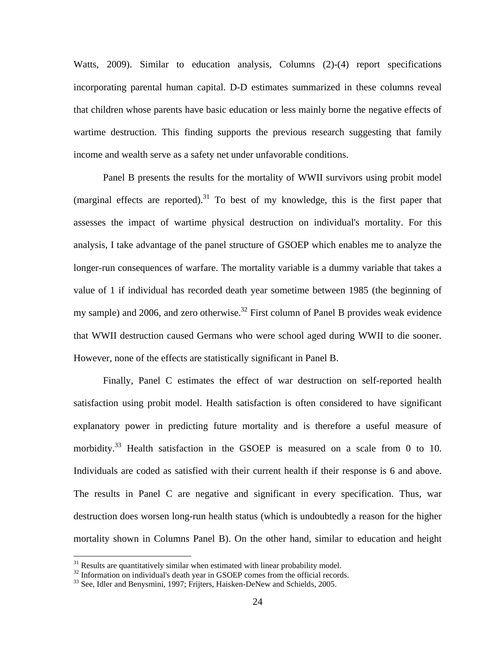Watts, 2009). Similar to education analysis, Columns (2)-(4) report specifications incorporating parental human capital. D-D estimates summarized in these columns reveal that children whose parents have basic education or less mainly borne the negative effects of wartime destruction. This finding supports the previous research suggesting that family income and wealth serve as a safety net under unfavorable conditions.

Panel B presents the results for the mortality of WWII survivors using probit model (marginal effects are reported). $31$  To best of my knowledge, this is the first paper that assesses the impact of wartime physical destruction on individual's mortality. For this analysis, I take advantage of the panel structure of GSOEP which enables me to analyze the longer-run consequences of warfare. The mortality variable is a dummy variable that takes a value of 1 if individual has recorded death year sometime between 1985 (the beginning of my sample) and 2006, and zero otherwise.<sup>32</sup> First column of Panel B provides weak evidence that WWII destruction caused Germans who were school aged during WWII to die sooner. However, none of the effects are statistically significant in Panel B.

Finally, Panel C estimates the effect of war destruction on self-reported health satisfaction using probit model. Health satisfaction is often considered to have significant explanatory power in predicting future mortality and is therefore a useful measure of morbidity.<sup>33</sup> Health satisfaction in the GSOEP is measured on a scale from 0 to 10. Individuals are coded as satisfied with their current health if their response is 6 and above. The results in Panel C are negative and significant in every specification. Thus, war destruction does worsen long-run health status (which is undoubtedly a reason for the higher mortality shown in Columns Panel B). On the other hand, similar to education and height

<sup>&</sup>lt;sup>31</sup> Results are quantitatively similar when estimated with linear probability model.

 $32$  Information on individual's death year in GSOEP comes from the official records.<br> $33$  See, Idler and Benysmini, 1997; Frijters, Haisken-DeNew and Schields, 2005.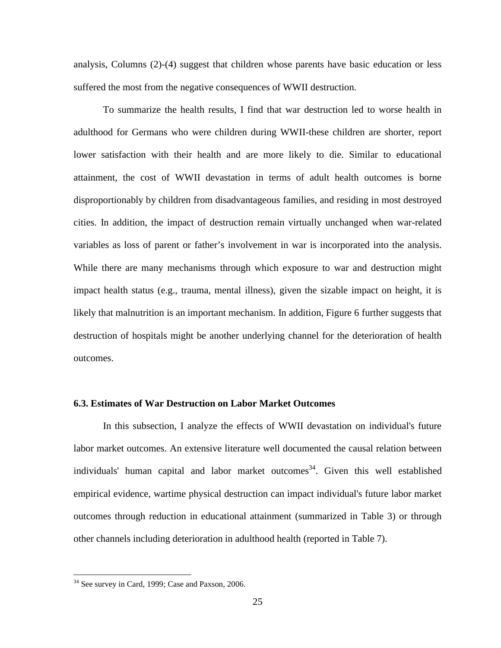analysis, Columns (2)-(4) suggest that children whose parents have basic education or less suffered the most from the negative consequences of WWII destruction.

To summarize the health results, I find that war destruction led to worse health in adulthood for Germans who were children during WWII-these children are shorter, report lower satisfaction with their health and are more likely to die. Similar to educational attainment, the cost of WWII devastation in terms of adult health outcomes is borne disproportionably by children from disadvantageous families, and residing in most destroyed cities. In addition, the impact of destruction remain virtually unchanged when war-related variables as loss of parent or father's involvement in war is incorporated into the analysis. While there are many mechanisms through which exposure to war and destruction might impact health status (e.g., trauma, mental illness), given the sizable impact on height, it is likely that malnutrition is an important mechanism. In addition, Figure 6 further suggests that destruction of hospitals might be another underlying channel for the deterioration of health outcomes.

#### **6.3. Estimates of War Destruction on Labor Market Outcomes**

In this subsection, I analyze the effects of WWII devastation on individual's future labor market outcomes. An extensive literature well documented the causal relation between individuals' human capital and labor market outcomes<sup>34</sup>. Given this well established empirical evidence, wartime physical destruction can impact individual's future labor market outcomes through reduction in educational attainment (summarized in Table 3) or through other channels including deterioration in adulthood health (reported in Table 7).

<sup>&</sup>lt;sup>34</sup> See survey in Card, 1999; Case and Paxson, 2006.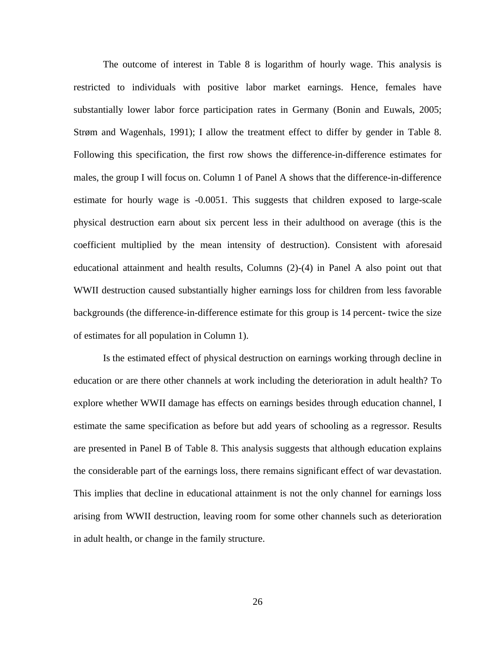The outcome of interest in Table 8 is logarithm of hourly wage. This analysis is restricted to individuals with positive labor market earnings. Hence, females have substantially lower labor force participation rates in Germany (Bonin and Euwals, 2005; Strøm and Wagenhals, 1991); I allow the treatment effect to differ by gender in Table 8. Following this specification, the first row shows the difference-in-difference estimates for males, the group I will focus on. Column 1 of Panel A shows that the difference-in-difference estimate for hourly wage is -0.0051. This suggests that children exposed to large-scale physical destruction earn about six percent less in their adulthood on average (this is the coefficient multiplied by the mean intensity of destruction). Consistent with aforesaid educational attainment and health results, Columns (2)-(4) in Panel A also point out that WWII destruction caused substantially higher earnings loss for children from less favorable backgrounds (the difference-in-difference estimate for this group is 14 percent- twice the size of estimates for all population in Column 1).

Is the estimated effect of physical destruction on earnings working through decline in education or are there other channels at work including the deterioration in adult health? To explore whether WWII damage has effects on earnings besides through education channel, I estimate the same specification as before but add years of schooling as a regressor. Results are presented in Panel B of Table 8. This analysis suggests that although education explains the considerable part of the earnings loss, there remains significant effect of war devastation. This implies that decline in educational attainment is not the only channel for earnings loss arising from WWII destruction, leaving room for some other channels such as deterioration in adult health, or change in the family structure.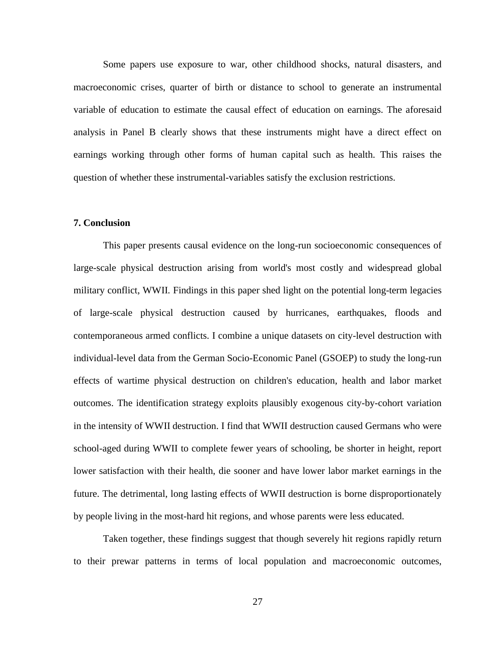Some papers use exposure to war, other childhood shocks, natural disasters, and macroeconomic crises, quarter of birth or distance to school to generate an instrumental variable of education to estimate the causal effect of education on earnings. The aforesaid analysis in Panel B clearly shows that these instruments might have a direct effect on earnings working through other forms of human capital such as health. This raises the question of whether these instrumental-variables satisfy the exclusion restrictions.

#### **7. Conclusion**

This paper presents causal evidence on the long-run socioeconomic consequences of large-scale physical destruction arising from world's most costly and widespread global military conflict, WWII. Findings in this paper shed light on the potential long-term legacies of large-scale physical destruction caused by hurricanes, earthquakes, floods and contemporaneous armed conflicts. I combine a unique datasets on city-level destruction with individual-level data from the German Socio-Economic Panel (GSOEP) to study the long-run effects of wartime physical destruction on children's education, health and labor market outcomes. The identification strategy exploits plausibly exogenous city-by-cohort variation in the intensity of WWII destruction. I find that WWII destruction caused Germans who were school-aged during WWII to complete fewer years of schooling, be shorter in height, report lower satisfaction with their health, die sooner and have lower labor market earnings in the future. The detrimental, long lasting effects of WWII destruction is borne disproportionately by people living in the most-hard hit regions, and whose parents were less educated.

Taken together, these findings suggest that though severely hit regions rapidly return to their prewar patterns in terms of local population and macroeconomic outcomes,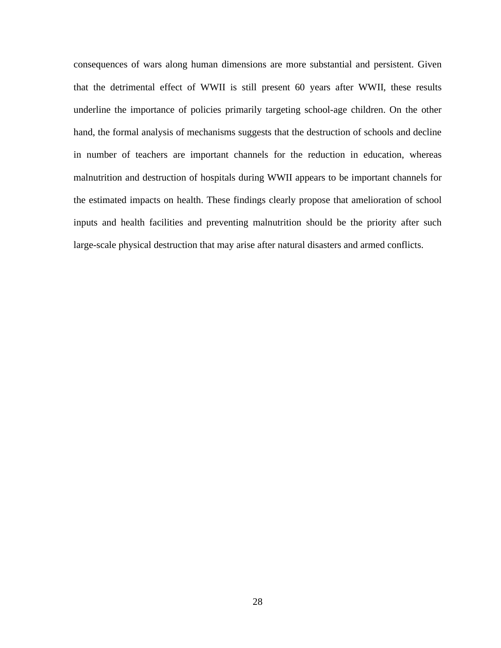consequences of wars along human dimensions are more substantial and persistent. Given that the detrimental effect of WWII is still present 60 years after WWII, these results underline the importance of policies primarily targeting school-age children. On the other hand, the formal analysis of mechanisms suggests that the destruction of schools and decline in number of teachers are important channels for the reduction in education, whereas malnutrition and destruction of hospitals during WWII appears to be important channels for the estimated impacts on health. These findings clearly propose that amelioration of school inputs and health facilities and preventing malnutrition should be the priority after such large-scale physical destruction that may arise after natural disasters and armed conflicts.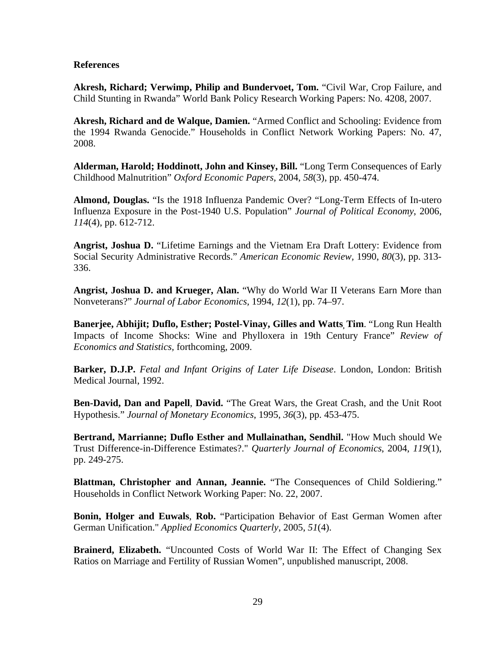#### **References**

**Akresh, Richard; Verwimp, Philip and Bundervoet, Tom.** "Civil War, Crop Failure, and Child Stunting in Rwanda" World Bank Policy Research Working Papers: No. 4208*,* 2007.

**Akresh, Richard and de Walque, Damien.** "Armed Conflict and Schooling: Evidence from the 1994 Rwanda Genocide." Households in Conflict Network Working Papers: No. 47, 2008.

**Alderman, Harold; Hoddinott, John and Kinsey, Bill.** "Long Term Consequences of Early Childhood Malnutrition" *Oxford Economic Papers,* 2004, *58*(3), pp. 450-474.

**Almond, Douglas.** "Is the 1918 Influenza Pandemic Over? "Long-Term Effects of In-utero Influenza Exposure in the Post-1940 U.S. Population" *Journal of Political Economy*, 2006, *114*(4), pp. 612-712.

**Angrist, Joshua D.** "Lifetime Earnings and the Vietnam Era Draft Lottery: Evidence from Social Security Administrative Records." *American Economic Review,* 1990, *80*(3), pp. 313- 336.

**Angrist, Joshua D. and Krueger, Alan.** "Why do World War II Veterans Earn More than Nonveterans?" *Journal of Labor Economics,* 1994, *12*(1), pp. 74–97.

**Banerjee, Abhijit; Duflo, Esther; Postel-Vinay, Gilles and Watts, Tim**. "Long Run Health Impacts of Income Shocks: Wine and Phylloxera in 19th Century France" *Review of Economics and Statistics,* forthcoming, 2009.

**Barker, D.J.P.** *Fetal and Infant Origins of Later Life Disease*. London, London: British Medical Journal, 1992.

**Ben-David, Dan and Papell**, **David.** "The Great Wars, the Great Crash, and the Unit Root Hypothesis." *Journal of Monetary Economics*, 1995, *36*(3), pp. 453-475.

**Bertrand, Marrianne; Duflo Esther and Mullainathan, Sendhil.** "How Much should We Trust Difference-in-Difference Estimates?." *Quarterly Journal of Economics*, 2004, *119*(1), pp. 249-275.

**Blattman, Christopher and Annan, Jeannie.** "The Consequences of Child Soldiering." Households in Conflict Network Working Paper: No. 22, 2007.

**Bonin, Holger and Euwals**, **Rob.** "Participation Behavior of East German Women after German Unification." *Applied Economics Quarterly*, 2005, *51*(4).

**Brainerd, Elizabeth.** "Uncounted Costs of World War II: The Effect of Changing Sex Ratios on Marriage and Fertility of Russian Women", unpublished manuscript, 2008.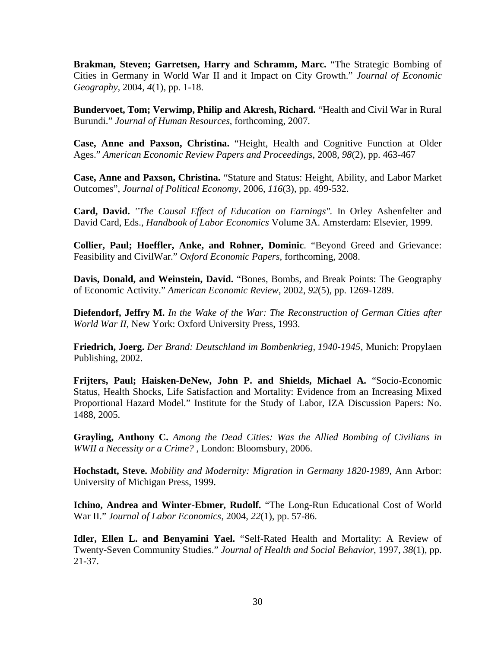**Brakman, Steven; Garretsen, Harry and Schramm, Marc.** "The Strategic Bombing of Cities in Germany in World War II and it Impact on City Growth." *Journal of Economic Geography,* 2004*, 4*(1), pp. 1-18.

**Bundervoet, Tom; Verwimp, Philip and Akresh, Richard.** "Health and Civil War in Rural Burundi." *Journal of Human Resources*, forthcoming, 2007.

**Case, Anne and Paxson, Christina.** "Height, Health and Cognitive Function at Older Ages." *American Economic Review Papers and Proceedings*, 2008, *98*(2), pp. 463-467

**Case, Anne and Paxson, Christina.** "Stature and Status: Height, Ability, and Labor Market Outcomes", *Journal of Political Economy*, 2006, *116*(3), pp. 499-532.

**Card, David.** *"The Causal Effect of Education on Earnings".* In Orley Ashenfelter and David Card, Eds., *Handbook of Labor Economics* Volume 3A. Amsterdam: Elsevier, 1999.

**Collier, Paul; Hoeffler, Anke, and Rohner, Dominic**. "Beyond Greed and Grievance: Feasibility and CivilWar." *Oxford Economic Papers,* forthcoming, 2008.

**Davis, Donald, and Weinstein, David.** "Bones, Bombs, and Break Points: The Geography of Economic Activity." *American Economic Review*, 2002, *92*(5), pp. 1269-1289.

**Diefendorf, Jeffry M.** *In the Wake of the War: The Reconstruction of German Cities after World War II,* New York: Oxford University Press, 1993.

**Friedrich, Joerg.** *Der Brand: Deutschland im Bombenkrieg, 1940-1945*, Munich: Propylaen Publishing, 2002.

**Frijters, Paul; Haisken-DeNew, John P. and Shields, Michael A.** "Socio-Economic Status, Health Shocks, Life Satisfaction and Mortality: Evidence from an Increasing Mixed Proportional Hazard Model." Institute for the Study of Labor, IZA Discussion Papers: No. 1488, 2005.

**Grayling, Anthony C.** *Among the Dead Cities: Was the Allied Bombing of Civilians in WWII a Necessity or a Crime?* , London: Bloomsbury, 2006.

**Hochstadt, Steve.** *Mobility and Modernity: Migration in Germany 1820-1989*, Ann Arbor: University of Michigan Press, 1999.

**Ichino, Andrea and Winter-Ebmer, Rudolf.** "The Long-Run Educational Cost of World War II." *Journal of Labor Economics*, 2004, *22*(1), pp. 57-86.

**Idler, Ellen L. and Benyamini Yael.** "Self-Rated Health and Mortality: A Review of Twenty-Seven Community Studies." *Journal of Health and Social Behavior*, 1997, *38*(1), pp. 21-37.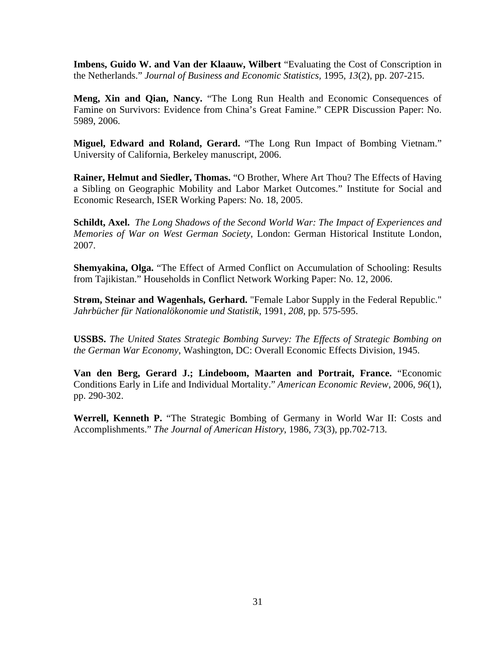**Imbens, Guido W. and Van der Klaauw, Wilbert** "Evaluating the Cost of Conscription in the Netherlands." *Journal of Business and Economic Statistics,* 1995, *13*(2), pp. 207-215.

**Meng, Xin and Qian, Nancy.** "The Long Run Health and Economic Consequences of Famine on Survivors: Evidence from China's Great Famine." CEPR Discussion Paper: No. 5989, 2006.

**Miguel, Edward and Roland, Gerard.** "The Long Run Impact of Bombing Vietnam." University of California, Berkeley manuscript, 2006.

**Rainer, Helmut and Siedler, Thomas.** "O Brother, Where Art Thou? The Effects of Having a Sibling on Geographic Mobility and Labor Market Outcomes." Institute for Social and Economic Research, ISER Working Papers: No. 18, 2005.

**Schildt, Axel.** *The Long Shadows of the Second World War: The Impact of Experiences and Memories of War on West German Society*, London: German Historical Institute London, 2007.

**Shemyakina, Olga.** "The Effect of Armed Conflict on Accumulation of Schooling: Results from Tajikistan." Households in Conflict Network Working Paper: No. 12, 2006.

**Strøm, Steinar and Wagenhals, Gerhard.** "Female Labor Supply in the Federal Republic." *Jahrbücher für Nationalökonomie und Statistik*, 1991, *208*, pp. 575-595.

**USSBS.** *The United States Strategic Bombing Survey: The Effects of Strategic Bombing on the German War Economy*, Washington, DC: Overall Economic Effects Division, 1945.

**Van den Berg, Gerard J.; Lindeboom, Maarten and Portrait, France.** "Economic Conditions Early in Life and Individual Mortality." *American Economic Review*, 2006, *96*(1), pp. 290-302.

**Werrell, Kenneth P.** "The Strategic Bombing of Germany in World War II: Costs and Accomplishments." *The Journal of American History*, 1986, *73*(3), pp.702-713.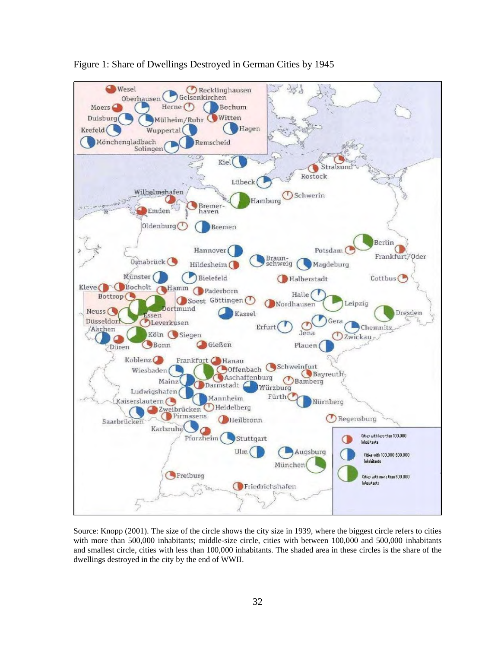

Figure 1: Share of Dwellings Destroyed in German Cities by 1945

Source: Knopp (2001). The size of the circle shows the city size in 1939, where the biggest circle refers to cities with more than 500,000 inhabitants; middle-size circle, cities with between 100,000 and 500,000 inhabitants and smallest circle, cities with less than 100,000 inhabitants. The shaded area in these circles is the share of the dwellings destroyed in the city by the end of WWII.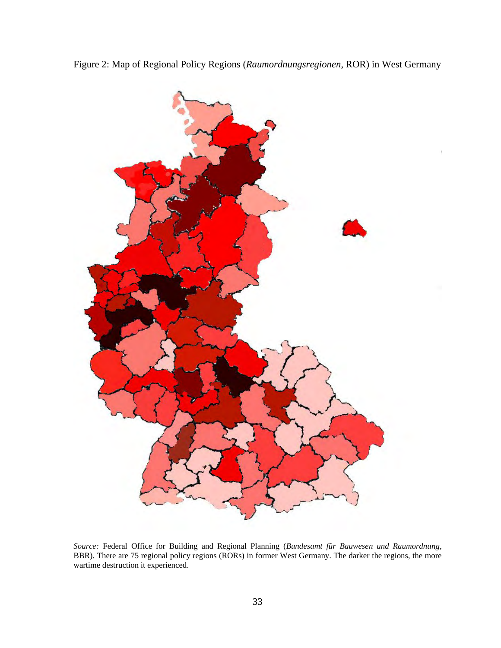



*Source:* Federal Office for Building and Regional Planning (*Bundesamt für Bauwesen und Raumordnung*, BBR). There are 75 regional policy regions (RORs) in former West Germany. The darker the regions, the more wartime destruction it experienced.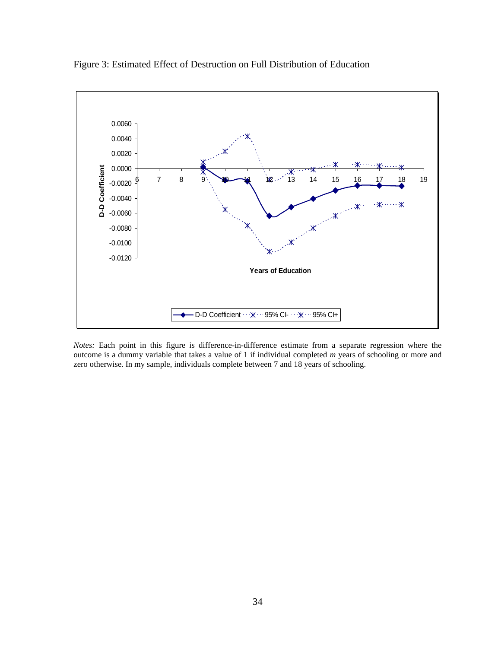

Figure 3: Estimated Effect of Destruction on Full Distribution of Education

*Notes:* Each point in this figure is difference-in-difference estimate from a separate regression where the outcome is a dummy variable that takes a value of 1 if individual completed *m* years of schooling or more and zero otherwise. In my sample, individuals complete between 7 and 18 years of schooling.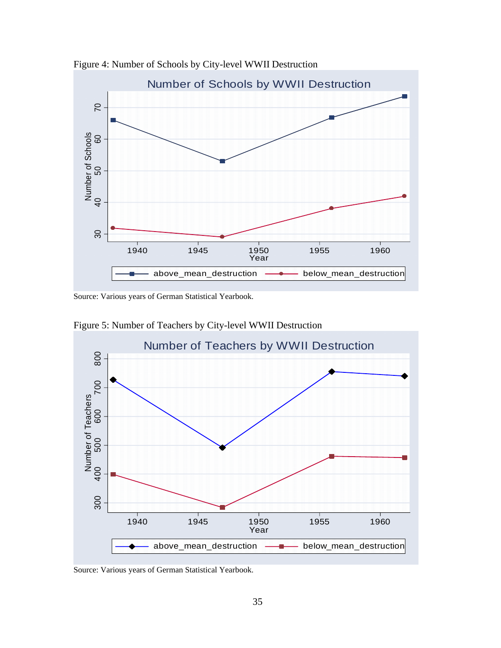

Figure 4: Number of Schools by City-level WWII Destruction

Source: Various years of German Statistical Yearbook.



Figure 5: Number of Teachers by City-level WWII Destruction

Source: Various years of German Statistical Yearbook.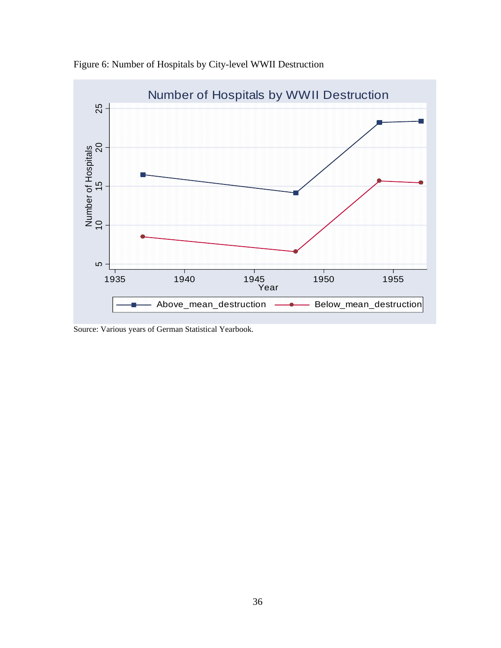

Figure 6: Number of Hospitals by City-level WWII Destruction

Source: Various years of German Statistical Yearbook.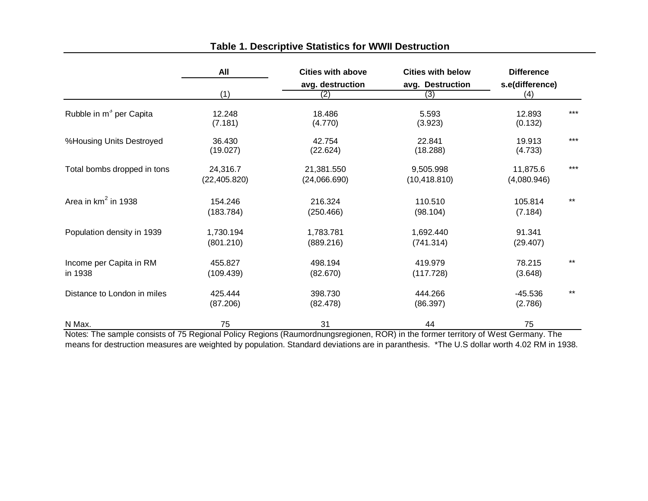|                                     | All                       | <b>Cities with above</b>   | <b>Cities with below</b>   | <b>Difference</b>       |       |
|-------------------------------------|---------------------------|----------------------------|----------------------------|-------------------------|-------|
|                                     |                           | avg. destruction           | avg. Destruction           | s.e(difference)         |       |
|                                     | (1)                       | (2)                        | (3)                        | (4)                     |       |
| Rubble in m <sup>3</sup> per Capita | 12.248<br>(7.181)         | 18.486<br>(4.770)          | 5.593<br>(3.923)           | 12.893<br>(0.132)       | $***$ |
| %Housing Units Destroyed            | 36.430<br>(19.027)        | 42.754<br>(22.624)         | 22.841<br>(18.288)         | 19.913<br>(4.733)       | $***$ |
| Total bombs dropped in tons         | 24,316.7<br>(22, 405.820) | 21,381.550<br>(24,066.690) | 9,505.998<br>(10, 418.810) | 11,875.6<br>(4,080.946) | $***$ |
| Area in $km^2$ in 1938              | 154.246<br>(183.784)      | 216.324<br>(250.466)       | 110.510<br>(98.104)        | 105.814<br>(7.184)      | $***$ |
| Population density in 1939          | 1,730.194<br>(801.210)    | 1,783.781<br>(889.216)     | 1,692.440<br>(741.314)     | 91.341<br>(29.407)      |       |
| Income per Capita in RM<br>in 1938  | 455.827<br>(109.439)      | 498.194<br>(82.670)        | 419.979<br>(117.728)       | 78.215<br>(3.648)       | $***$ |
| Distance to London in miles         | 425.444<br>(87.206)       | 398.730<br>(82.478)        | 444.266<br>(86.397)        | $-45.536$<br>(2.786)    | $***$ |
| N Max.<br>$\sim$ $  \sim$           | 75                        | 31<br>$\overline{ }$       | 44<br>----                 | 75<br>$\cdot$<br>÷.     |       |

## **Table 1. Descriptive Statistics for WWII Destruction**

Notes: The sample consists of 75 Regional Policy Regions (Raumordnungsregionen, ROR) in the former territory of West Germany. The means for destruction measures are weighted by population. Standard deviations are in paranthesis. \*The U.S dollar worth 4.02 RM in 1938.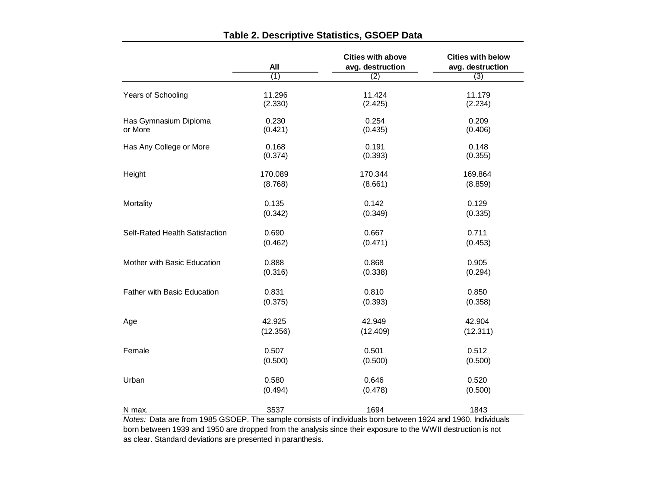|                                                                                                                       | All      | <b>Cities with above</b><br>avg. destruction | <b>Cities with below</b><br>avg. destruction |  |
|-----------------------------------------------------------------------------------------------------------------------|----------|----------------------------------------------|----------------------------------------------|--|
|                                                                                                                       | (1)      | $\overline{(2)}$                             | (3)                                          |  |
| Years of Schooling                                                                                                    | 11.296   | 11.424                                       | 11.179                                       |  |
|                                                                                                                       | (2.330)  | (2.425)                                      | (2.234)                                      |  |
| Has Gymnasium Diploma                                                                                                 | 0.230    | 0.254                                        | 0.209                                        |  |
| or More                                                                                                               | (0.421)  | (0.435)                                      | (0.406)                                      |  |
| Has Any College or More                                                                                               | 0.168    | 0.191                                        | 0.148                                        |  |
|                                                                                                                       | (0.374)  | (0.393)                                      | (0.355)                                      |  |
| Height                                                                                                                | 170.089  | 170.344                                      | 169.864                                      |  |
|                                                                                                                       | (8.768)  | (8.661)                                      | (8.859)                                      |  |
| Mortality                                                                                                             | 0.135    | 0.142                                        | 0.129                                        |  |
|                                                                                                                       | (0.342)  | (0.349)                                      | (0.335)                                      |  |
| Self-Rated Health Satisfaction                                                                                        | 0.690    | 0.667                                        | 0.711                                        |  |
|                                                                                                                       | (0.462)  | (0.471)                                      | (0.453)                                      |  |
| Mother with Basic Education                                                                                           | 0.888    | 0.868                                        | 0.905                                        |  |
|                                                                                                                       | (0.316)  | (0.338)                                      | (0.294)                                      |  |
| <b>Father with Basic Education</b>                                                                                    | 0.831    | 0.810                                        | 0.850                                        |  |
|                                                                                                                       | (0.375)  | (0.393)                                      | (0.358)                                      |  |
| Age                                                                                                                   | 42.925   | 42.949                                       | 42.904                                       |  |
|                                                                                                                       | (12.356) | (12.409)                                     | (12.311)                                     |  |
| Female                                                                                                                | 0.507    | 0.501                                        | 0.512                                        |  |
|                                                                                                                       | (0.500)  | (0.500)                                      | (0.500)                                      |  |
| Urban                                                                                                                 | 0.580    | 0.646                                        | 0.520                                        |  |
|                                                                                                                       | (0.494)  | (0.478)                                      | (0.500)                                      |  |
| N max.<br>Notes: Data are from 1985 GSOEP. The sample consists of individuals born between 1924 and 1960. Individuals | 3537     | 1694                                         | 1843                                         |  |

## **Table 2. Descriptive Statistics, GSOEP Data**

as clear. Standard deviations are presented in paranthesis. *Notes:* Data are from 1985 GSOEP. The sample consists of individuals born between 1924 and 1960. Individuals born between 1939 and 1950 are dropped from the analysis since their exposure to the WWII destruction is not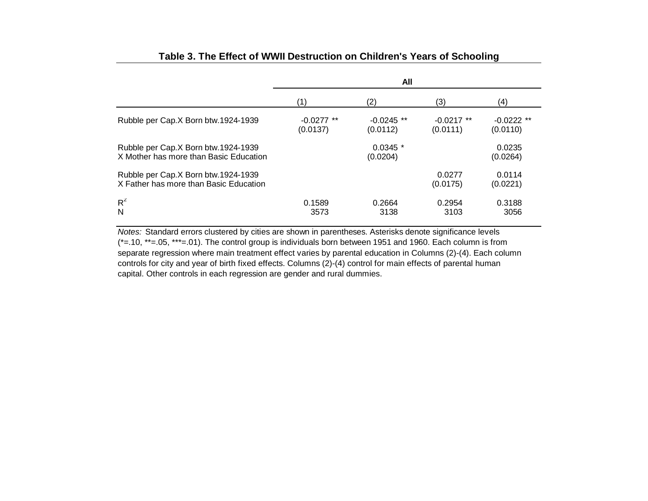|                                                                               | All                      |                          |                          |                          |
|-------------------------------------------------------------------------------|--------------------------|--------------------------|--------------------------|--------------------------|
|                                                                               | (1)                      | (2)                      | (3)                      | (4)                      |
| Rubble per Cap.X Born btw.1924-1939                                           | $-0.0277$ **<br>(0.0137) | $-0.0245$ **<br>(0.0112) | $-0.0217$ **<br>(0.0111) | $-0.0222$ **<br>(0.0110) |
| Rubble per Cap.X Born btw.1924-1939<br>X Mother has more than Basic Education |                          | $0.0345$ *<br>(0.0204)   |                          | 0.0235<br>(0.0264)       |
| Rubble per Cap.X Born btw.1924-1939<br>X Father has more than Basic Education |                          |                          | 0.0277<br>(0.0175)       | 0.0114<br>(0.0221)       |
| $R^2$<br>N                                                                    | 0.1589<br>3573           | 0.2664<br>3138           | 0.2954<br>3103           | 0.3188<br>3056           |

## **Table 3. The Effect of WWII Destruction on Children's Years of Schooling**

separate regression where main treatment effect varies by parental education in Columns (2)-(4). Each column controls for city and year of birth fixed effects. Columns (2)-(4) control for main effects of parental human capital. Other controls in each regression are gender and rural dummies. *Notes:* Standard errors clustered by cities are shown in parentheses. Asterisks denote significance levels (\*=.10, \*\*=.05, \*\*\*=.01). The control group is individuals born between 1951 and 1960. Each column is from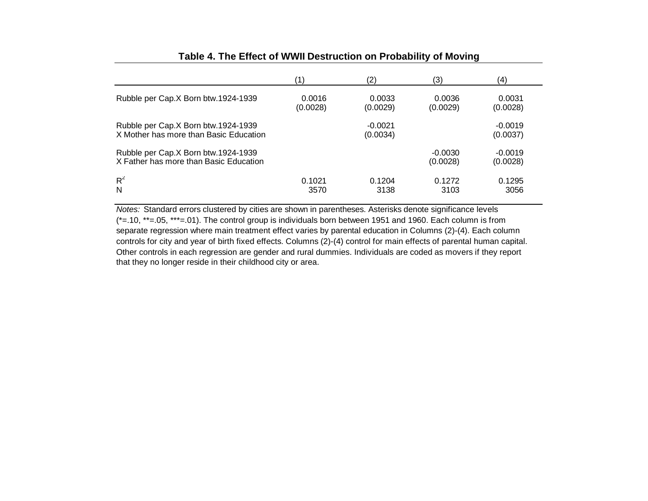|                                                                               | (1)                | (2)                   | (3)                   | (4)                   |
|-------------------------------------------------------------------------------|--------------------|-----------------------|-----------------------|-----------------------|
| Rubble per Cap.X Born btw.1924-1939                                           | 0.0016<br>(0.0028) | 0.0033<br>(0.0029)    | 0.0036<br>(0.0029)    | 0.0031<br>(0.0028)    |
| Rubble per Cap.X Born btw.1924-1939<br>X Mother has more than Basic Education |                    | $-0.0021$<br>(0.0034) |                       | $-0.0019$<br>(0.0037) |
| Rubble per Cap.X Born btw.1924-1939<br>X Father has more than Basic Education |                    |                       | $-0.0030$<br>(0.0028) | $-0.0019$<br>(0.0028) |
| $R^2$<br>N                                                                    | 0.1021<br>3570     | 0.1204<br>3138        | 0.1272<br>3103        | 0.1295<br>3056        |

## **Table 4. The Effect of WWII Destruction on Probability of Moving**

controls for city and year of birth fixed effects. Columns (2)-(4) control for main effects of parental human capital. Other controls in each regression are gender and rural dummies. Individuals are coded as movers if they report that they no longer reside in their childhood city or area. *Notes:* Standard errors clustered by cities are shown in parentheses. Asterisks denote significance levels (\*=.10, \*\*=.05, \*\*\*=.01). The control group is individuals born between 1951 and 1960. Each column is from separate regression where main treatment effect varies by parental education in Columns (2)-(4). Each column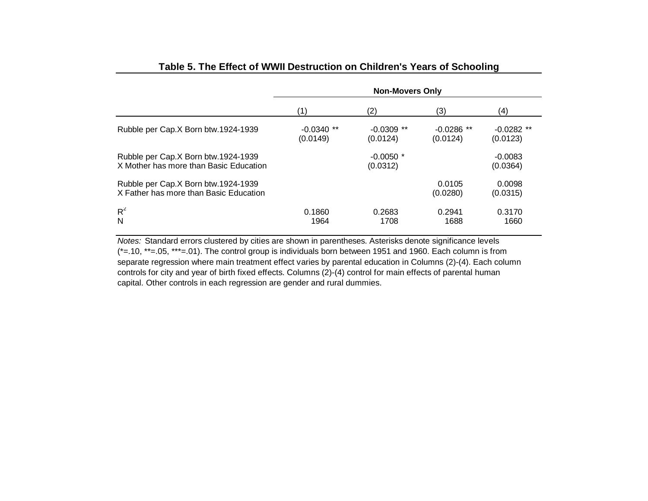|                                                                               | <b>Non-Movers Only</b>   |                          |                          |                          |
|-------------------------------------------------------------------------------|--------------------------|--------------------------|--------------------------|--------------------------|
|                                                                               | (1)                      | (2)                      | (3)                      | (4)                      |
| Rubble per Cap.X Born btw.1924-1939                                           | $-0.0340$ **<br>(0.0149) | $-0.0309$ **<br>(0.0124) | $-0.0286$ **<br>(0.0124) | $-0.0282$ **<br>(0.0123) |
| Rubble per Cap.X Born btw.1924-1939<br>X Mother has more than Basic Education |                          | $-0.0050$ *<br>(0.0312)  |                          | $-0.0083$<br>(0.0364)    |
| Rubble per Cap.X Born btw.1924-1939<br>X Father has more than Basic Education |                          |                          | 0.0105<br>(0.0280)       | 0.0098<br>(0.0315)       |
| $R^2$<br>N                                                                    | 0.1860<br>1964           | 0.2683<br>1708           | 0.2941<br>1688           | 0.3170<br>1660           |

## **Table 5. The Effect of WWII Destruction on Children's Years of Schooling**

separate regression where main treatment effect varies by parental education in Columns (2)-(4). Each column controls for city and year of birth fixed effects. Columns (2)-(4) control for main effects of parental human capital. Other controls in each regression are gender and rural dummies. *Notes:* Standard errors clustered by cities are shown in parentheses. Asterisks denote significance levels (\*=.10, \*\*=.05, \*\*\*=.01). The control group is individuals born between 1951 and 1960. Each column is from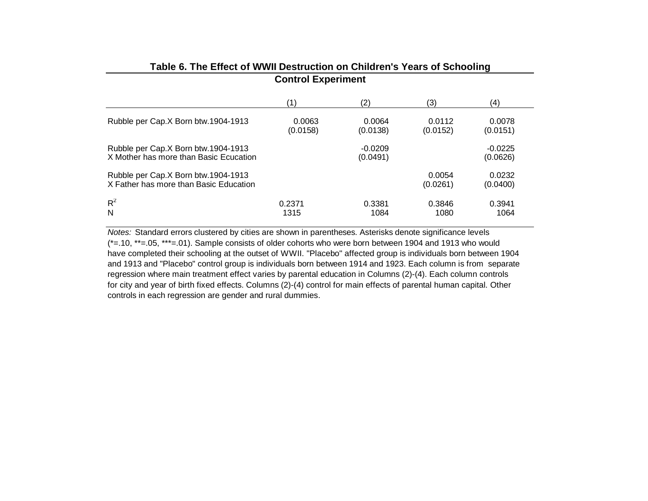|                                                                               | <u>stini si mwaka ililishi </u> |                       |                    |                       |  |
|-------------------------------------------------------------------------------|---------------------------------|-----------------------|--------------------|-----------------------|--|
|                                                                               | (1)                             | (2)                   | (3)                | (4)                   |  |
| Rubble per Cap.X Born btw.1904-1913                                           | 0.0063<br>(0.0158)              | 0.0064<br>(0.0138)    | 0.0112<br>(0.0152) | 0.0078<br>(0.0151)    |  |
| Rubble per Cap.X Born btw.1904-1913<br>X Mother has more than Basic Ecucation |                                 | $-0.0209$<br>(0.0491) |                    | $-0.0225$<br>(0.0626) |  |
| Rubble per Cap.X Born btw.1904-1913<br>X Father has more than Basic Education |                                 |                       | 0.0054<br>(0.0261) | 0.0232<br>(0.0400)    |  |
| $R^2$<br>N                                                                    | 0.2371<br>1315                  | 0.3381<br>1084        | 0.3846<br>1080     | 0.3941<br>1064        |  |

#### **Table 6. The Effect of WWII Destruction on Children's Years of Schooling Control Experiment**

controls in each regression are gender and rural dummies. have completed their schooling at the outset of WWII. "Placebo" affected group is individuals born between 1904 and 1913 and "Placebo" control group is individuals born between 1914 and 1923. Each column is from separate regression where main treatment effect varies by parental education in Columns (2)-(4). Each column controls for city and year of birth fixed effects. Columns (2)-(4) control for main effects of parental human capital. Other *Notes:* Standard errors clustered by cities are shown in parentheses. Asterisks denote significance levels (\*=.10, \*\*=.05, \*\*\*=.01). Sample consists of older cohorts who were born between 1904 and 1913 who would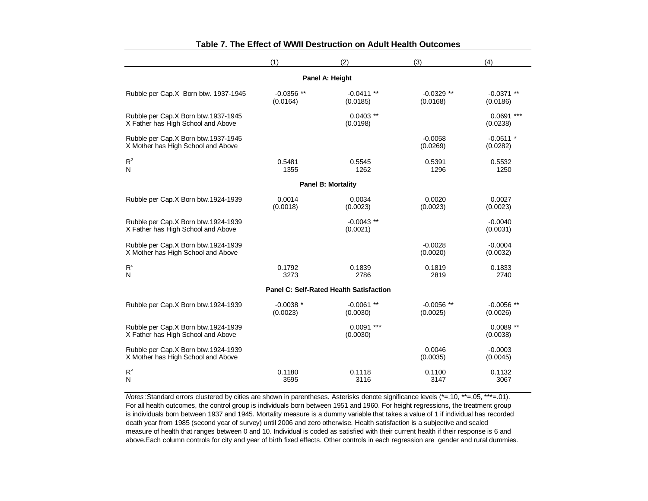|                                                                           | (1)                     | (2)                                            | (3)                      | (4)                      |
|---------------------------------------------------------------------------|-------------------------|------------------------------------------------|--------------------------|--------------------------|
|                                                                           |                         | Panel A: Height                                |                          |                          |
| Rubble per Cap.X Born btw. 1937-1945                                      | $-0.0356**$<br>(0.0164) | $-0.0411**$<br>(0.0185)                        | $-0.0329**$<br>(0.0168)  | $-0.0371$ **<br>(0.0186) |
| Rubble per Cap.X Born btw.1937-1945<br>X Father has High School and Above |                         | $0.0403$ **<br>(0.0198)                        |                          | $0.0691$ ***<br>(0.0238) |
| Rubble per Cap.X Born btw.1937-1945<br>X Mother has High School and Above |                         |                                                | $-0.0058$<br>(0.0269)    | $-0.0511$ *<br>(0.0282)  |
| $R^2$<br>N                                                                | 0.5481<br>1355          | 0.5545<br>1262                                 | 0.5391<br>1296           | 0.5532<br>1250           |
|                                                                           |                         | <b>Panel B: Mortality</b>                      |                          |                          |
| Rubble per Cap.X Born btw.1924-1939                                       | 0.0014<br>(0.0018)      | 0.0034<br>(0.0023)                             | 0.0020<br>(0.0023)       | 0.0027<br>(0.0023)       |
| Rubble per Cap.X Born btw.1924-1939<br>X Father has High School and Above |                         | $-0.0043**$<br>(0.0021)                        |                          | $-0.0040$<br>(0.0031)    |
| Rubble per Cap.X Born btw.1924-1939<br>X Mother has High School and Above |                         |                                                | $-0.0028$<br>(0.0020)    | $-0.0004$<br>(0.0032)    |
| $\mathsf{R}^2$<br>N                                                       | 0.1792<br>3273          | 0.1839<br>2786                                 | 0.1819<br>2819           | 0.1833<br>2740           |
|                                                                           |                         | <b>Panel C: Self-Rated Health Satisfaction</b> |                          |                          |
| Rubble per Cap.X Born btw.1924-1939                                       | $-0.0038$ *<br>(0.0023) | $-0.0061$ **<br>(0.0030)                       | $-0.0056$ **<br>(0.0025) | $-0.0056$ **<br>(0.0026) |
| Rubble per Cap.X Born btw.1924-1939<br>X Father has High School and Above |                         | $0.0091$ ***<br>(0.0030)                       |                          | $0.0089**$<br>(0.0038)   |
| Rubble per Cap.X Born btw.1924-1939<br>X Mother has High School and Above |                         |                                                | 0.0046<br>(0.0035)       | $-0.0003$<br>(0.0045)    |
| $R^2$<br>N                                                                | 0.1180<br>3595          | 0.1118<br>3116                                 | 0.1100<br>3147           | 0.1132<br>3067           |

#### **Table 7. The Effect of WWII Destruction on Adult Health Outcomes**

measure of health that ranges between 0 and 10. Individual is coded as satisfied with their current health if their response is 6 and above.Each column controls for city and year of birth fixed effects. Other controls in each regression are gender and rural dummies. *Notes* :Standard errors clustered by cities are shown in parentheses. Asterisks denote significance levels (\*=.10, \*\*=.05, \*\*\*=.01). For all health outcomes, the control group is individuals born between 1951 and 1960. For height regressions, the treatment group is individuals born between 1937 and 1945. Mortality measure is a dummy variable that takes a value of 1 if individual has recorded death year from 1985 (second year of survey) until 2006 and zero otherwise. Health satisfaction is a subjective and scaled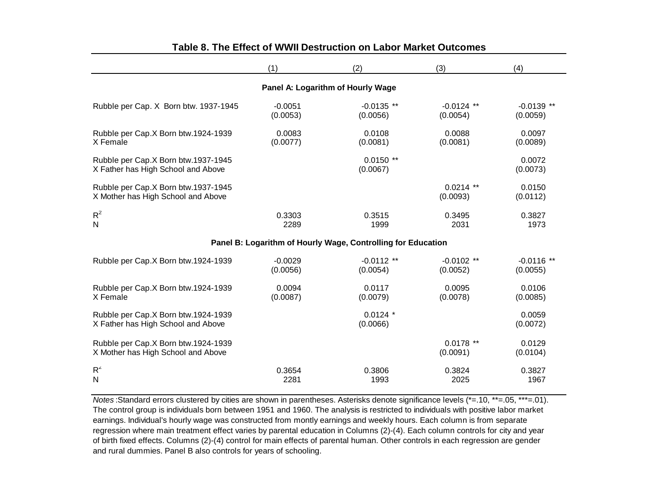|                                                                           | (1)                   | (2)                                                          | (3)                      | (4)                      |
|---------------------------------------------------------------------------|-----------------------|--------------------------------------------------------------|--------------------------|--------------------------|
|                                                                           |                       | Panel A: Logarithm of Hourly Wage                            |                          |                          |
| Rubble per Cap. X Born btw. 1937-1945                                     | $-0.0051$<br>(0.0053) | $-0.0135$ **<br>(0.0056)                                     | $-0.0124$ **<br>(0.0054) | $-0.0139$ **<br>(0.0059) |
| Rubble per Cap.X Born btw.1924-1939<br>X Female                           | 0.0083<br>(0.0077)    | 0.0108<br>(0.0081)                                           | 0.0088<br>(0.0081)       | 0.0097<br>(0.0089)       |
| Rubble per Cap.X Born btw.1937-1945<br>X Father has High School and Above |                       | $0.0150**$<br>(0.0067)                                       |                          | 0.0072<br>(0.0073)       |
| Rubble per Cap.X Born btw.1937-1945<br>X Mother has High School and Above |                       |                                                              | $0.0214$ **<br>(0.0093)  | 0.0150<br>(0.0112)       |
| $R^2$<br>$\mathsf{N}$                                                     | 0.3303<br>2289        | 0.3515<br>1999                                               | 0.3495<br>2031           | 0.3827<br>1973           |
|                                                                           |                       | Panel B: Logarithm of Hourly Wage, Controlling for Education |                          |                          |
| Rubble per Cap.X Born btw.1924-1939                                       | $-0.0029$<br>(0.0056) | $-0.0112$ **<br>(0.0054)                                     | $-0.0102$ **<br>(0.0052) | $-0.0116$ **<br>(0.0055) |
| Rubble per Cap.X Born btw.1924-1939<br>X Female                           | 0.0094<br>(0.0087)    | 0.0117<br>(0.0079)                                           | 0.0095<br>(0.0078)       | 0.0106<br>(0.0085)       |
| Rubble per Cap.X Born btw.1924-1939<br>X Father has High School and Above |                       | $0.0124$ *<br>(0.0066)                                       |                          | 0.0059<br>(0.0072)       |
| Rubble per Cap.X Born btw.1924-1939<br>X Mother has High School and Above |                       |                                                              | $0.0178$ **<br>(0.0091)  | 0.0129<br>(0.0104)       |
| $R^2$<br>N                                                                | 0.3654<br>2281        | 0.3806<br>1993                                               | 0.3824<br>2025           | 0.3827<br>1967           |

## **Table 8. The Effect of WWII Destruction on Labor Market Outcomes**

and rural dummies. Panel B also controls for years of schooling. The control group is individuals born between 1951 and 1960. The analysis is restricted to individuals with positive labor market earnings. Individual's hourly wage was constructed from montly earnings and weekly hours. Each column is from separate regression where main treatment effect varies by parental education in Columns (2)-(4). Each column controls for city and year of birth fixed effects. Columns (2)-(4) control for main effects of parental human. Other controls in each regression are gender *Notes* :Standard errors clustered by cities are shown in parentheses. Asterisks denote significance levels (\*=.10, \*\*=.05, \*\*\*=.01).